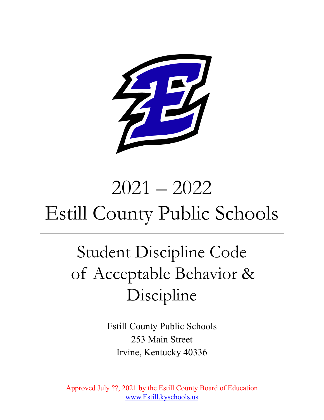

# 2021 – 2022 Estill County Public Schools

## Student Discipline Code of Acceptable Behavior & Discipline

Estill County Public Schools 253 Main Street Irvine, Kentucky 40336

Approved July ??, 2021 by the Estill County Board of Education [www.Estill.kyschools.us](http://www.scott.kyschools.us)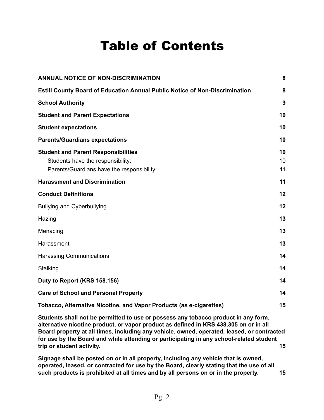### Table of Contents

| <b>ANNUAL NOTICE OF NON-DISCRIMINATION</b>                                                                                    | 8              |
|-------------------------------------------------------------------------------------------------------------------------------|----------------|
| <b>Estill County Board of Education Annual Public Notice of Non-Discrimination</b>                                            | 8              |
| <b>School Authority</b>                                                                                                       | 9              |
| <b>Student and Parent Expectations</b>                                                                                        | 10             |
| <b>Student expectations</b>                                                                                                   | 10             |
| <b>Parents/Guardians expectations</b>                                                                                         | 10             |
| <b>Student and Parent Responsibilities</b><br>Students have the responsibility:<br>Parents/Guardians have the responsibility: | 10<br>10<br>11 |
| <b>Harassment and Discrimination</b>                                                                                          | 11             |
| <b>Conduct Definitions</b>                                                                                                    | 12             |
| <b>Bullying and Cyberbullying</b>                                                                                             | 12             |
| Hazing                                                                                                                        | 13             |
| Menacing                                                                                                                      | 13             |
| Harassment                                                                                                                    | 13             |
| Harassing Communications                                                                                                      | 14             |
| Stalking                                                                                                                      | 14             |
| Duty to Report (KRS 158.156)                                                                                                  | 14             |
| <b>Care of School and Personal Property</b>                                                                                   | 14             |
| Tobacco, Alternative Nicotine, and Vapor Products (as e-cigarettes)                                                           | 15             |

**Students shall not be [permitted](#page-14-1) to use or possess any tobacco product in any form, [alternative](#page-14-1) nicotine product, or vapor product as defined in KRS 438.305 on or in all Board property at all times, including any vehicle, owned, operated, leased, or [contracted](#page-14-1) for use by the Board and while attending or participating in any [school-related](#page-14-1) student trip or student [activity.](#page-14-1) [15](#page-14-1)**

**Signage shall be posted on or in all property, [including](#page-14-2) any vehicle that is owned, operated, leased, or [contracted](#page-14-2) for use by the Board, clearly stating that the use of all such products is [prohibited](#page-14-2) at all times and by all persons on or in the property. [15](#page-14-2)**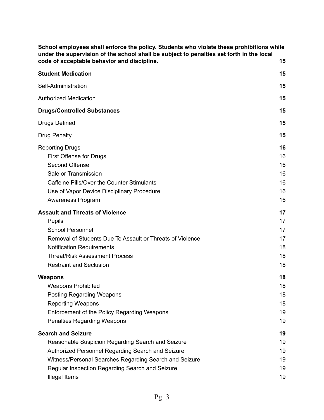| School employees shall enforce the policy. Students who violate these prohibitions while<br>under the supervision of the school shall be subject to penalties set forth in the local                                                                                     |                                        |
|--------------------------------------------------------------------------------------------------------------------------------------------------------------------------------------------------------------------------------------------------------------------------|----------------------------------------|
| code of acceptable behavior and discipline.                                                                                                                                                                                                                              | 15                                     |
| <b>Student Medication</b>                                                                                                                                                                                                                                                | 15                                     |
| Self-Administration                                                                                                                                                                                                                                                      | 15                                     |
| <b>Authorized Medication</b>                                                                                                                                                                                                                                             | 15                                     |
| <b>Drugs/Controlled Substances</b>                                                                                                                                                                                                                                       | 15                                     |
| <b>Drugs Defined</b>                                                                                                                                                                                                                                                     | 15                                     |
| <b>Drug Penalty</b>                                                                                                                                                                                                                                                      | 15                                     |
| <b>Reporting Drugs</b><br>First Offense for Drugs<br>Second Offense<br>Sale or Transmission<br>Caffeine Pills/Over the Counter Stimulants<br>Use of Vapor Device Disciplinary Procedure<br>Awareness Program                                                             | 16<br>16<br>16<br>16<br>16<br>16<br>16 |
| <b>Assault and Threats of Violence</b><br><b>Pupils</b><br><b>School Personnel</b><br>Removal of Students Due To Assault or Threats of Violence<br><b>Notification Requirements</b><br><b>Threat/Risk Assessment Process</b><br><b>Restraint and Seclusion</b>           | 17<br>17<br>17<br>17<br>18<br>18<br>18 |
| <b>Weapons</b><br><b>Weapons Prohibited</b><br><b>Posting Regarding Weapons</b><br><b>Reporting Weapons</b><br>Enforcement of the Policy Regarding Weapons<br><b>Penalties Regarding Weapons</b>                                                                         | 18<br>18<br>18<br>18<br>19<br>19       |
| <b>Search and Seizure</b><br>Reasonable Suspicion Regarding Search and Seizure<br>Authorized Personnel Regarding Search and Seizure<br>Witness/Personal Searches Regarding Search and Seizure<br>Regular Inspection Regarding Search and Seizure<br><b>Illegal Items</b> | 19<br>19<br>19<br>19<br>19<br>19       |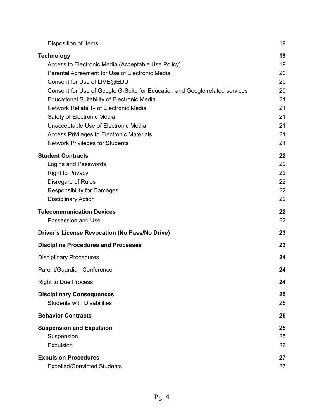| Disposition of Items                                                                                                                                                                                                                                                                                                                                                                                                                                                                                         | 19                                                             |
|--------------------------------------------------------------------------------------------------------------------------------------------------------------------------------------------------------------------------------------------------------------------------------------------------------------------------------------------------------------------------------------------------------------------------------------------------------------------------------------------------------------|----------------------------------------------------------------|
| <b>Technology</b><br>Access to Electronic Media (Acceptable Use Policy)<br>Parental Agreement for Use of Electronic Media<br>Consent for Use of LIVE@EDU<br>Consent for Use of Google G-Suite for Education and Google related services<br><b>Educational Suitability of Electronic Media</b><br>Network Reliability of Electronic Media<br>Safety of Electronic Media<br>Unacceptable Use of Electronic Media<br><b>Access Privileges to Electronic Materials</b><br><b>Network Privileges for Students</b> | 19<br>19<br>20<br>20<br>20<br>21<br>21<br>21<br>21<br>21<br>21 |
| <b>Student Contracts</b><br>Logins and Passwords<br><b>Right to Privacy</b><br>Disregard of Rules<br><b>Responsibility for Damages</b><br><b>Disciplinary Action</b>                                                                                                                                                                                                                                                                                                                                         | 22<br>22<br>22<br>22<br>22<br>22                               |
| <b>Telecommunication Devices</b><br>Possession and Use                                                                                                                                                                                                                                                                                                                                                                                                                                                       | 22<br>22                                                       |
| Driver's License Revocation (No Pass/No Drive)                                                                                                                                                                                                                                                                                                                                                                                                                                                               | 23                                                             |
| <b>Discipline Procedures and Processes</b>                                                                                                                                                                                                                                                                                                                                                                                                                                                                   | 23                                                             |
| <b>Disciplinary Procedures</b>                                                                                                                                                                                                                                                                                                                                                                                                                                                                               | 24                                                             |
| Parent/Guardian Conference                                                                                                                                                                                                                                                                                                                                                                                                                                                                                   | 24                                                             |
| <b>Right to Due Process</b>                                                                                                                                                                                                                                                                                                                                                                                                                                                                                  | 24                                                             |
| <b>Disciplinary Consequences</b><br><b>Students with Disabilities</b>                                                                                                                                                                                                                                                                                                                                                                                                                                        | 25<br>25                                                       |
| <b>Behavior Contracts</b>                                                                                                                                                                                                                                                                                                                                                                                                                                                                                    | 25                                                             |
| <b>Suspension and Expulsion</b><br>Suspension<br>Expulsion                                                                                                                                                                                                                                                                                                                                                                                                                                                   | 25<br>25<br>26                                                 |
| <b>Expulsion Procedures</b><br><b>Expelled/Convicted Students</b>                                                                                                                                                                                                                                                                                                                                                                                                                                            | 27<br>27                                                       |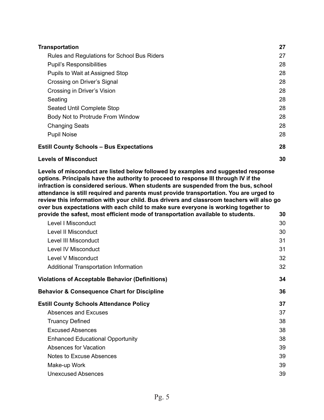| <b>Transportation</b>                           | 27 |
|-------------------------------------------------|----|
| Rules and Regulations for School Bus Riders     | 27 |
| <b>Pupil's Responsibilities</b>                 | 28 |
| Pupils to Wait at Assigned Stop                 | 28 |
| Crossing on Driver's Signal                     | 28 |
| Crossing in Driver's Vision                     | 28 |
| Seating                                         | 28 |
| Seated Until Complete Stop                      | 28 |
| Body Not to Protrude From Window                | 28 |
| <b>Changing Seats</b>                           | 28 |
| <b>Pupil Noise</b>                              | 28 |
| <b>Estill County Schools - Bus Expectations</b> | 28 |
| <b>Levels of Misconduct</b>                     | 30 |

**Levels of [misconduct](#page-29-1) are listed below followed by examples and suggested response options. [Principals](#page-29-1) have the authority to proceed to response III through IV if the infraction is [considered](#page-29-1) serious. When students are suspended from the bus, school attendance is still required and parents must provide [transportation.](#page-29-1) You are urged to review this [information](#page-29-1) with your child. Bus drivers and classroom teachers will also go over bus [expectations](#page-29-1) with each child to make sure everyone is working together to provide the safest, most efficient mode of [transportation](#page-29-1) available to students. [30](#page-29-1)**

| Level I Misconduct                                     | 30 |
|--------------------------------------------------------|----|
| Level II Misconduct                                    | 30 |
| Level III Misconduct                                   | 31 |
| Level IV Misconduct                                    | 31 |
| Level V Misconduct                                     | 32 |
| Additional Transportation Information                  | 32 |
| Violations of Acceptable Behavior (Definitions)        | 34 |
| <b>Behavior &amp; Consequence Chart for Discipline</b> | 36 |
| <b>Estill County Schools Attendance Policy</b>         | 37 |
|                                                        |    |
| Absences and Excuses                                   | 37 |
| <b>Truancy Defined</b>                                 | 38 |
| <b>Excused Absences</b>                                | 38 |
| <b>Enhanced Educational Opportunity</b>                | 38 |
| Absences for Vacation                                  | 39 |
| Notes to Excuse Absences                               | 39 |
| Make-up Work                                           | 39 |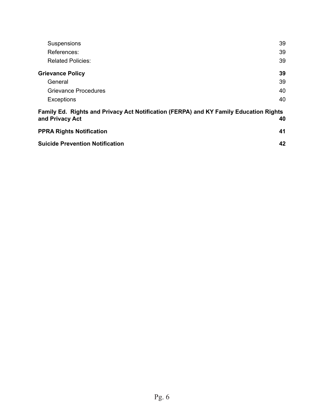| Suspensions                                                                                              | 39 |
|----------------------------------------------------------------------------------------------------------|----|
| References:                                                                                              | 39 |
| <b>Related Policies:</b>                                                                                 | 39 |
| <b>Grievance Policy</b>                                                                                  | 39 |
| General                                                                                                  | 39 |
| <b>Grievance Procedures</b>                                                                              | 40 |
| <b>Exceptions</b>                                                                                        | 40 |
| Family Ed. Rights and Privacy Act Notification (FERPA) and KY Family Education Rights<br>and Privacy Act | 40 |
| <b>PPRA Rights Notification</b>                                                                          | 41 |
| <b>Suicide Prevention Notification</b>                                                                   | 42 |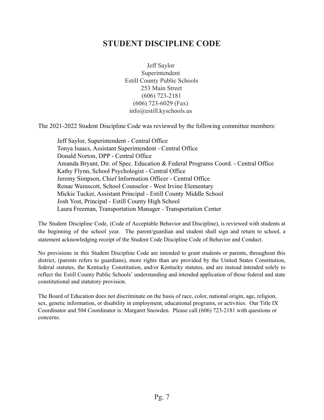### **STUDENT DISCIPLINE CODE**

Jeff Saylor Superintendent Estill County Public Schools 253 Main Street (606) 723-2181 (606) 723-6029 (Fax) info@estill.kyschools.us

The 2021-2022 Student Discipline Code was reviewed by the following committee members:

Jeff Saylor, Superintendent - Central Office Tonya Isaacs, Assistant Superintendent - Central Office Donald Norton, DPP - Central Office Amanda Bryant, Dir. of Spec. Education & Federal Programs Coord. - Central Office Kathy Flynn, School Psychologist - Central Office Jeremy Simpson, Chief Information Officer - Central Office Renae Wainscott, School Counselor - West Irvine Elementary Mickie Tucker, Assistant Principal - Estill County Middle School Josh Yost, Principal - Estill County High School Laura Freeman, Transportation Manager - Transportation Center

The Student Discipline Code, (Code of Acceptable Behavior and Discipline), is reviewed with students at the beginning of the school year. The parent/guardian and student shall sign and return to school, a statement acknowledging receipt of the Student Code Discipline Code of Behavior and Conduct.

No provisions in this Student Discipline Code are intended to grant students or parents, throughout this district, (parents refers to guardians), more rights than are provided by the United States Constitution, federal statutes, the Kentucky Constitution, and/or Kentucky statutes, and are instead intended solely to reflect the Estill County Public Schools' understanding and intended application of those federal and state constitutional and statutory provision.

The Board of Education does not discriminate on the basis of race, color, national origin, age, religion, sex, genetic information, or disability in employment, educational programs, or activities. Our Title IX Coordinator and 504 Coordinator is: Margaret Snowden. Please call (606) 723-2181 with questions or concerns.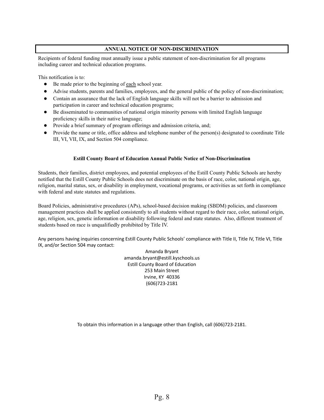#### **ANNUAL NOTICE OF NON-DISCRIMINATION**

<span id="page-7-0"></span>Recipients of federal funding must annually issue a public statement of non-discrimination for all programs including career and technical education programs.

This notification is to:

- Be made prior to the beginning of each school year.
- Advise students, parents and families, employees, and the general public of the policy of non-discrimination;
- Contain an assurance that the lack of English language skills will not be a barrier to admission and participation in career and technical education programs;
- Be disseminated to communities of national origin minority persons with limited English language proficiency skills in their native language;
- Provide a brief summary of program offerings and admission criteria, and;
- <span id="page-7-1"></span>• Provide the name or title, office address and telephone number of the person(s) designated to coordinate Title III, VI, VII, IX, and Section 504 compliance.

#### **Estill County Board of Education Annual Public Notice of Non-Discrimination**

Students, their families, district employees, and potential employees of the Estill County Public Schools are hereby notified that the Estill County Public Schools does not discriminate on the basis of race, color, national origin, age, religion, marital status, sex, or disability in employment, vocational programs, or activities as set forth in compliance with federal and state statutes and regulations.

Board Policies, administrative procedures (APs), school-based decision making (SBDM) policies, and classroom management practices shall be applied consistently to all students without regard to their race, color, national origin, age, religion, sex, genetic information or disability following federal and state statutes. Also, different treatment of students based on race is unqualifiedly prohibited by Title IV.

Any persons having inquiries concerning Estill County Public Schools' compliance with Title II, Title IV, Title VI, Title IX, and/or Section 504 may contact:

> Amanda Bryant amanda.bryant@estill.kyschools.us Estill County Board of Education 253 Main Street Irvine, KY 40336 (606)723-2181

To obtain this information in a language other than English, call (606)723-2181.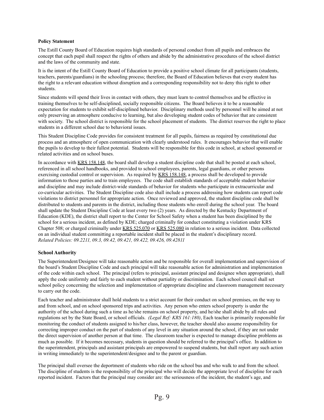#### **Policy Statement**

The Estill County Board of Education requires high standards of personal conduct from all pupils and embraces the concept that each pupil shall respect the rights of others and abide by the administrative procedures of the school district and the laws of the community and state.

It is the intent of the Estill County Board of Education to provide a positive school climate for all participants (students, teachers, parents/guardians) in the schooling process; therefore, the Board of Education believes that every student has the right to a relevant education without disruption and a corresponding responsibility not to deny this right to other students.

Since students will spend their lives in contact with others, they must learn to control themselves and be effective in training themselves to be self-disciplined, socially responsible citizens. The Board believes it to be a reasonable expectation for students to exhibit self-disciplined behavior. Disciplinary methods used by personnel will be aimed at not only preserving an atmosphere conducive to learning, but also developing student codes of behavior that are consistent with society. The school district is responsible for the school placement of students. The district reserves the right to place students in a different school due to behavioral issues.

This Student Discipline Code provides for consistent treatment for all pupils, fairness as required by constitutional due process and an atmosphere of open communication with clearly understood rules. It encourages behavior that will enable the pupils to develop to their fullest potential. Students will be responsible for this code in school, at school sponsored or related activities and on school buses.

In accordance with KRS 158.148, the board shall develop a student discipline code that shall be posted at each school, referenced in all school handbooks, and provided to school employees, parents, legal guardians, or other persons exercising custodial control or supervision. As required by KRS 158.148, a process shall be developed to provide information to those parties and to train employees. The code shall establish standards of acceptable student behavior and discipline and may include district-wide standards of behavior for students who participate in extracurricular and co-curricular activities. The Student Discipline code also shall include a process addressing how students can report code violations to district personnel for appropriate action. Once reviewed and approved, the student discipline code shall be distributed to students and parents in the district, including those students who enroll during the school year. The board shall update the Student Discipline Code at least every two (2) years. As directed by the Kentucky Department of Education (KDE), the district shall report to the Center for School Safety when a student has been disciplined by the school for a serious incident, as defined by KDE; charged criminally for conduct constituting a violation under KRS Chapter 508; or charged criminally under KRS 525.070 or KRS 525.080 in relation to a serious incident. Data collected on an individual student committing a reportable incident shall be placed in the student's disciplinary record. *Related Policies: 09.2211, 09.3, 09.42, 09.421, 09.422, 09.426, 09.42811*

#### <span id="page-8-0"></span>**School Authority**

The Superintendent/Designee will take reasonable action and be responsible for overall implementation and supervision of the board's Student Discipline Code and each principal will take reasonable action for administration and implementation of the code within each school. The principal (refers to principal, assistant principal and designee when appropriate), shall apply the code uniformly and fairly to each student without partiality or discrimination. Each school council shall set school policy concerning the selection and implementation of appropriate discipline and classroom management necessary to carry out the code.

Each teacher and administrator shall hold students to a strict account for their conduct on school premises, on the way to and from school, and on school sponsored trips and activities. Any person who enters school property is under the authority of the school during such a time as he/she remains on school property, and he/she shall abide by all rules and regulations set by the State Board, or school officials. *(Legal Ref: KRS 161:180)*, Each teacher is primarily responsible for monitoring the conduct of students assigned to his/her class, however, the teacher should also assume responsibility for correcting improper conduct on the part of students of any level in any situation around the school, if they are not under the direct supervision of another person at that time. The classroom teacher is expected to manage discipline problems as much as possible. If it becomes necessary, students in question should be referred to the principal's office. In addition to the superintendent, principals and assistant principals are empowered to suspend students, but shall report any such action in writing immediately to the superintendent/designee and to the parent or guardian.

The principal shall oversee the deportment of students who ride on the school bus and who walk to and from the school. The discipline of students is the responsibility of the principal who will decide the appropriate level of discipline for each reported incident. Factors that the principal may consider are: the seriousness of the incident, the student's age, and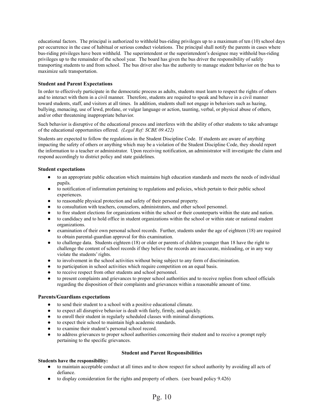educational factors. The principal is authorized to withhold bus-riding privileges up to a maximum of ten (10) school days per occurrence in the case of habitual or serious conduct violations. The principal shall notify the parents in cases where bus-riding privileges have been withheld. The superintendent or the superintendent's designee may withhold bus-riding privileges up to the remainder of the school year. The board has given the bus driver the responsibility of safely transporting students to and from school. The bus driver also has the authority to manage student behavior on the bus to maximize safe transportation.

#### <span id="page-9-0"></span>**Student and Parent Expectations**

In order to effectively participate in the democratic process as adults, students must learn to respect the rights of others and to interact with them in a civil manner. Therefore, students are required to speak and behave in a civil manner toward students, staff, and visitors at all times. In addition, students shall not engage in behaviors such as hazing, bullying, menacing, use of lewd, profane, or vulgar language or action, taunting, verbal, or physical abuse of others, and/or other threatening inappropriate behavior.

Such behavior is disruptive of the educational process and interferes with the ability of other students to take advantage of the educational opportunities offered. *(Legal Ref: SCBE 09.422)*

Students are expected to follow the regulations in the Student Discipline Code. If students are aware of anything impacting the safety of others or anything which may be a violation of the Student Discipline Code, they should report the information to a teacher or administrator. Upon receiving notification, an administrator will investigate the claim and respond accordingly to district policy and state guidelines.

#### <span id="page-9-1"></span>**Student expectations**

- to an appropriate public education which maintains high education standards and meets the needs of individual pupils.
- to notification of information pertaining to regulations and policies, which pertain to their public school experiences.
- to reasonable physical protection and safety of their personal property.
- to consultation with teachers, counselors, administrators, and other school personnel.
- to free student elections for organizations within the school or their counterparts within the state and nation.
- to candidacy and to hold office in student organizations within the school or within state or national student organizations.
- examination of their own personal school records. Further, students under the age of eighteen (18) are required to obtain parental-guardian approval for this examination.
- to challenge data. Students eighteen (18) or older or parents of children younger than 18 have the right to challenge the content of school records if they believe the records are inaccurate, misleading, or in any way violate the students' rights.
- to involvement in the school activities without being subject to any form of discrimination.
- to participation in school activities which require competition on an equal basis.
- to receive respect from other students and school personnel.
- to present complaints and grievances to proper school authorities and to receive replies from school officials regarding the disposition of their complaints and grievances within a reasonable amount of time.

#### <span id="page-9-2"></span>**Parents/Guardians expectations**

- to send their student to a school with a positive educational climate.
- to expect all disruptive behavior is dealt with fairly, firmly, and quickly.
- to enroll their student in regularly scheduled classes with minimal disruptions.
- to expect their school to maintain high academic standards.
- to examine their student's personal school record.
- <span id="page-9-3"></span>to address grievances to proper school authorities concerning their student and to receive a prompt reply pertaining to the specific grievances.

#### **Student and Parent Responsibilities**

#### <span id="page-9-4"></span>**Students have the responsibility:**

- to maintain acceptable conduct at all times and to show respect for school authority by avoiding all acts of defiance.
- to display consideration for the rights and property of others. (see board policy 9.426)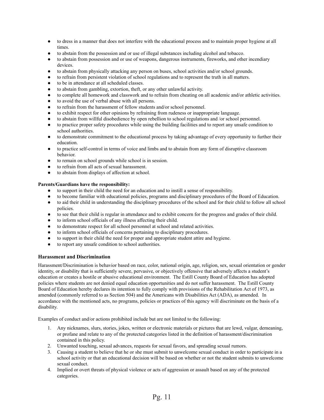- to dress in a manner that does not interfere with the educational process and to maintain proper hygiene at all times.
- to abstain from the possession and or use of illegal substances including alcohol and tobacco.
- to abstain from possession and or use of weapons, dangerous instruments, fireworks, and other incendiary devices.
- to abstain from physically attacking any person on buses, school activities and/or school grounds.
- to refrain from persistent violation of school regulations and to represent the truth in all matters.
- to be in attendance at all scheduled classes.
- to abstain from gambling, extortion, theft, or any other unlawful activity.
- to complete all homework and classwork and to refrain from cheating on all academic and/or athletic activities.
- to avoid the use of verbal abuse with all persons.
- to refrain from the harassment of fellow students and/or school personnel.
- to exhibit respect for other opinions by refraining from rudeness or inappropriate language.
- to abstain from willful disobedience by open rebellion to school regulations and /or school personnel.
- to practice proper safety procedures while using the building facilities and to report any unsafe condition to school authorities.
- to demonstrate commitment to the educational process by taking advantage of every opportunity to further their education.
- to practice self-control in terms of voice and limbs and to abstain from any form of disruptive classroom behavior.
- to remain on school grounds while school is in session.
- to refrain from all acts of sexual harassment.
- to abstain from displays of affection at school.

#### <span id="page-10-0"></span>**Parents/Guardians have the responsibility:**

- to support in their child the need for an education and to instill a sense of responsibility.
- to become familiar with educational policies, programs and disciplinary procedures of the Board of Education.
- to aid their child in understanding the disciplinary procedures of the school and for their child to follow all school policies.
- to see that their child is regular in attendance and to exhibit concern for the progress and grades of their child.
- to inform school officials of any illness affecting their child.
- to demonstrate respect for all school personnel at school and related activities.
- to inform school officials of concerns pertaining to disciplinary procedures.
- to support in their child the need for proper and appropriate student attire and hygiene.
- to report any unsafe condition to school authorities.

#### <span id="page-10-1"></span>**Harassment and Discrimination**

Harassment/Discrimination is behavior based on race, color, national origin, age, religion, sex, sexual orientation or gender identity, or disability that is sufficiently severe, pervasive, or objectively offensive that adversely affects a student's education or creates a hostile or abusive educational environment. The Estill County Board of Education has adopted policies where students are not denied equal education opportunities and do not suffer harassment. The Estill County Board of Education hereby declares its intention to fully comply with provisions of the Rehabilitation Act of 1973, as amended (commonly referred to as Section 504) and the Americans with Disabilities Act (ADA), as amended. In accordance with the mentioned acts, no programs, policies or practices of this agency will discriminate on the basis of a disability.

Examples of conduct and/or actions prohibited include but are not limited to the following:

- 1. Any nicknames, slurs, stories, jokes, written or electronic materials or pictures that are lewd, vulgar, demeaning, or profane and relate to any of the protected categories listed in the definition of harassment/discrimination contained in this policy.
- 2. Unwanted touching, sexual advances, requests for sexual favors, and spreading sexual rumors.
- 3. Causing a student to believe that he or she must submit to unwelcome sexual conduct in order to participate in a school activity or that an educational decision will be based on whether or not the student submits to unwelcome sexual conduct.
- 4. Implied or overt threats of physical violence or acts of aggression or assault based on any of the protected categories.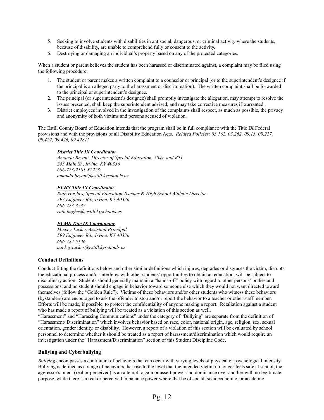- 5. Seeking to involve students with disabilities in antisocial, dangerous, or criminal activity where the students, because of disability, are unable to comprehend fully or consent to the activity.
- 6. Destroying or damaging an individual's property based on any of the protected categories.

When a student or parent believes the student has been harassed or discriminated against, a complaint may be filed using the following procedure:

- 1. The student or parent makes a written complaint to a counselor or principal (or to the superintendent's designee if the principal is an alleged party to the harassment or discrimination). The written complaint shall be forwarded to the principal or superintendent's designee.
- 2. The principal (or superintendent's designee) shall promptly investigate the allegation, may attempt to resolve the issues presented, shall keep the superintendent advised, and may take corrective measures if warranted.
- 3. District employees involved in the investigation of the complaints shall respect, as much as possible, the privacy and anonymity of both victims and persons accused of violation.

The Estill County Board of Education intends that the program shall be in full compliance with the Title IX Federal provisions and with the provisions of all Disability Education Acts. *Related Policies: 03.162, 03.262, 09.13, 09.227, 09.422, 09.426, 09.42811*

#### *District Title IX Coordinator*

*Amanda Bryant, Director of Special Education, 504s, and RTI 253 Main St., Irvine, KY 40336 606-723-2181 X2223 amanda.bryant@estill.kyschools.us*

#### *ECHS Title IX Coordinator*

*Ruth Hughes, Special Education Teacher & High School Athletic Director 397 Engineer Rd., Irvine, KY 40336 606-723-3537 ruth.hughes@estill.kyschools.us*

#### *ECMS Title IX Coordinator*

*Mickey Tucker, Assistant Principal 599 Engineer Rd., Irvine, KY 40336 606-723-5136 mickey.tucker@estill.kyschools.us*

#### <span id="page-11-0"></span>**Conduct Definitions**

Conduct fitting the definitions below and other similar definitions which injures, degrades or disgraces the victim, disrupts the educational process and/or interferes with other students' opportunities to obtain an education, will be subject to disciplinary action. Students should generally maintain a "hands-off" policy with regard to other persons' bodies and possessions, and no student should engage in behavior toward someone else which they would not want directed toward themselves (follow the "Golden Rule"). Victims of these behaviors and/or other students who witness these behaviors (bystanders) are encouraged to ask the offender to stop and/or report the behavior to a teacher or other staff member. Efforts will be made, if possible, to protect the confidentiality of anyone making a report. Retaliation against a student who has made a report of bullying will be treated as a violation of this section as well.

"Harassment" and "Harassing Communications" under the category of "Bullying" are separate from the definition of "Harassment/ Discrimination" which involves behavior based on race, color, national origin, age, religion, sex, sexual orientation, gender identity, or disability. However, a report of a violation of this section will be evaluated by school personnel to determine whether it should be treated as a report of harassment/discrimination which would require an investigation under the "Harassment/Discrimination" section of this Student Discipline Code.

#### <span id="page-11-1"></span>**Bullying and Cyberbullying**

*Bullying* encompasses a continuum of behaviors that can occur with varying levels of physical or psychological intensity. Bullying is defined as a range of behaviors that rise to the level that the intended victim no longer feels safe at school, the aggressor's intent (real or perceived) is an attempt to gain or assert power and dominance over another with no legitimate purpose, while there is a real or perceived imbalance power where that be of social, socioeconomic, or academic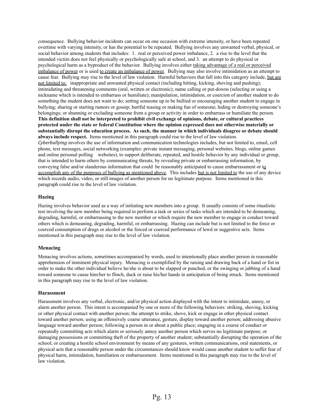consequence. Bullying behavior incidents can occur on one occasion with extreme intensity, or have been repeated overtime with varying intensity, or has the potential to be repeated. Bullying involves any unwanted verbal, physical, or social behavior among students that includes: 1. real or perceived power imbalance, 2. a rise to the level that the intended victim does not feel physically or psychologically safe at school, and 3. an attempt to do physical or psychological harm as a byproduct of the behavior. Bullying involves either taking advantage of a real or perceived imbalance of power or is used to create an imbalance of power. Bullying may also involve intimidation as an attempt to cause fear. Bullying may rise to the level of law violation. Harmful behaviors that fall into this category include, but are not limited to: inappropriate and unwanted physical contact (including hitting, kicking, shoving and pushing); intimidating and threatening comments (oral, written or electronic); name calling or put-downs (selecting or using a nickname which is intended to embarrass or humiliate); manipulation, intimidation, or coercion of another student to do something the student does not want to do; setting someone up to be bullied or encouraging another student to engage in bullying; sharing or starting rumors or gossip; hurtful teasing or making fun of someone; hiding or destroying someone's belongings; or shunning or excluding someone from a group or activity in order to embarrass or humiliate the person. **This definition shall not be interpreted to prohibit civil exchange of opinions, debate, or cultural practices protected under the state or federal Constitution where the opinion expressed does not otherwise materially or substantially disrupt the education process. As such, the manner in which individuals disagree or debate should always include respect.** Items mentioned in this paragraph could rise to the level of law violation. *Cyberbullying* involves the use of information and communication technologies includes, but not limited to, email, cell phone, text messages, social networking (examples: private instant messaging, personal websites, blogs, online games and online personal polling websites), to support deliberate, repeated, and hostile behavior by any individual or group, that is intended to harm others by communicating threats, by revealing private or embarrassing information, by conveying false and/or slanderous information that could be reasonably anticipated to cause embarrassment or to accomplish any of the purposes of bullying as mentioned above. This includes but is not limited to the use of any device which records audio, video, or still images of another person for no legitimate purpose. Items mentioned in this paragraph could rise to the level of law violation.

#### <span id="page-12-0"></span>**Hazing**

Hazing involves behavior used as a way of initiating new members into a group. It usually consists of some ritualistic test involving the new member being required to perform a task or series of tasks which are intended to be demeaning, degrading, harmful, or embarrassing to the new member or which require the new member to engage in conduct toward others which is demeaning, degrading, harmful, or embarrassing. Hazing can include but is not limited to the force or coerced consumption of drugs or alcohol or the forced or coerced performance of lewd or suggestive acts. Items mentioned in this paragraph may rise to the level of law violation.

#### <span id="page-12-1"></span>**Menacing**

Menacing involves actions, sometimes accompanied by words, used to intentionally place another person in reasonable apprehension of imminent physical injury. Menacing is exemplified by the raising and drawing back of a hand or fist in order to make the other individual believe he/she is about to be slapped or punched, or the swinging or jabbing of a hand toward someone to cause him/her to flinch, duck or raise his/her hands in anticipation of being struck. Items mentioned in this paragraph may rise to the level of law violation.

#### <span id="page-12-2"></span>**Harassment**

Harassment involves any verbal, electronic, and/or physical action displayed with the intent to intimidate, annoy, or alarm another person. This intent is accompanied by one or more of the following behaviors: striking, shoving, kicking or other physical contact with another person; the attempt to strike, shove, kick or engage in other physical contact toward another person; using an offensively coarse utterance, gesture, display toward another person; addressing abusive language toward another person; following a person in or about a public place; engaging in a course of conduct or repeatedly committing acts which alarm or seriously annoy another person which serves no legitimate purpose; or damaging possessions or committing theft of the property of another student; substantially disrupting the operation of the school; or creating a hostile school environment by means of any gestures, written communications, oral statements, or physical acts that a reasonable person under the circumstances should know would cause another student to suffer fear of physical harm, intimidation, humiliation or embarrassment. Items mentioned in this paragraph may rise to the level of law violation.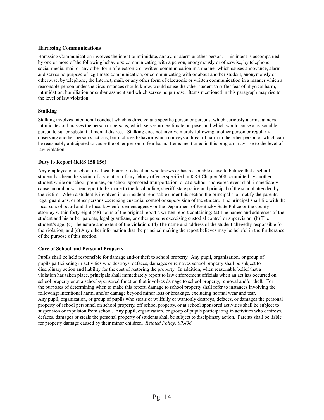#### <span id="page-13-0"></span>**Harassing Communications**

Harassing Communication involves the intent to intimidate, annoy, or alarm another person. This intent is accompanied by one or more of the following behaviors: communicating with a person, anonymously or otherwise, by telephone, social media, mail or any other form of electronic or written communication in a manner which causes annoyance, alarm and serves no purpose of legitimate communication, or communicating with or about another student, anonymously or otherwise, by telephone, the Internet, mail, or any other form of electronic or written communication in a manner which a reasonable person under the circumstances should know, would cause the other student to suffer fear of physical harm, intimidation, humiliation or embarrassment and which serves no purpose. Items mentioned in this paragraph may rise to the level of law violation.

#### <span id="page-13-1"></span>**Stalking**

Stalking involves intentional conduct which is directed at a specific person or persons; which seriously alarms, annoys, intimidates or harasses the person or persons; which serves no legitimate purpose, and which would cause a reasonable person to suffer substantial mental distress. Stalking does not involve merely following another person or regularly observing another person's actions, but includes behavior which conveys a threat of harm to the other person or which can be reasonably anticipated to cause the other person to fear harm. Items mentioned in this program may rise to the level of law violation.

#### <span id="page-13-2"></span>**Duty to Report (KRS 158.156)**

Any employee of a school or a local board of education who knows or has reasonable cause to believe that a school student has been the victim of a violation of any felony offense specified in KRS Chapter 508 committed by another student while on school premises, on school sponsored transportation, or at a school-sponsored event shall immediately cause an oral or written report to be made to the local police, sheriff, state police and principal of the school attended by the victim. When a student is involved in an incident reportable under this section the principal shall notify the parents, legal guardians, or other persons exercising custodial control or supervision of the student. The principal shall file with the local school board and the local law enforcement agency or the Department of Kentucky State Police or the county attorney within forty-eight (48) hours of the original report a written report containing: (a) The names and addresses of the student and his or her parents, legal guardians, or other persons exercising custodial control or supervision; (b) The student's age; (c) The nature and extent of the violation; (d) The name and address of the student allegedly responsible for the violation; and (e) Any other information that the principal making the report believes may be helpful in the furtherance of the purpose of this section.

#### <span id="page-13-3"></span>**Care of School and Personal Property**

Pupils shall be held responsible for damage and/or theft to school property. Any pupil, organization, or group of pupils participating in activities who destroys, defaces, damages or removes school property shall be subject to disciplinary action and liability for the cost of restoring the property. In addition, when reasonable belief that a violation has taken place, principals shall immediately report to law enforcement officials when an act has occurred on school property or at a school-sponsored function that involves damage to school property, removal and/or theft. For the purposes of determining when to make this report, damage to school property shall refer to instances involving the following: Intentional harm, and/or damage beyond minor loss or breakage, excluding normal wear and tear. Any pupil, organization, or group of pupils who steals or willfully or wantonly destroys, defaces, or damages the personal property of school personnel on school property, off school property, or at school sponsored activities shall be subject to suspension or expulsion from school. Any pupil, organization, or group of pupils participating in activities who destroys, defaces, damages or steals the personal property of students shall be subject to disciplinary action. Parents shall be liable for property damage caused by their minor children. *Related Policy: 09.438*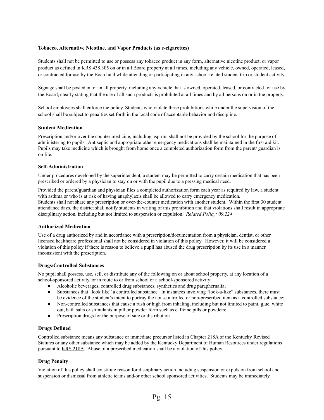#### <span id="page-14-0"></span>**Tobacco, Alternative Nicotine, and Vapor Products (as e-cigarettes)**

<span id="page-14-1"></span>Students shall not be permitted to use or possess any tobacco product in any form, alternative nicotine product, or vapor product as defined in KRS 438.305 on or in all Board property at all times, including any vehicle, owned, operated, leased, or contracted for use by the Board and while attending or participating in any school-related student trip or student activity.

<span id="page-14-2"></span>Signage shall be posted on or in all property, including any vehicle that is owned, operated, leased, or contracted for use by the Board, clearly stating that the use of all such products is prohibited at all times and by all persons on or in the property.

<span id="page-14-3"></span>School employees shall enforce the policy. Students who violate these prohibitions while under the supervision of the school shall be subject to penalties set forth in the local code of acceptable behavior and discipline.

#### <span id="page-14-4"></span>**Student Medication**

Prescription and/or over the counter medicine, including aspirin, shall not be provided by the school for the purpose of administering to pupils. Antiseptic and appropriate other emergency medications shall be maintained in the first aid kit. Pupils may take medicine which is brought from home once a completed authorization form from the parent/ guardian is on file.

#### <span id="page-14-5"></span>**Self-Administration**

Under procedures developed by the superintendent, a student may be permitted to carry certain medication that has been prescribed or ordered by a physician to stay on or with the pupil due to a pressing medical need.

Provided the parent/guardian and physician files a completed authorization form each year as required by law, a student with asthma or who is at risk of having anaphylaxis shall be allowed to carry emergency medication. Students shall not share any prescription or over-the-counter medication with another student. Within the first 30 student attendance days, the district shall notify students in writing of this prohibition and that violations shall result in appropriate disciplinary action, including but not limited to suspension or expulsion. *Related Policy: 09.224*

#### <span id="page-14-6"></span>**Authorized Medication**

Use of a drug authorized by and in accordance with a prescription/documentation from a physician, dentist, or other licensed healthcare professional shall not be considered in violation of this policy. However, it will be considered a violation of this policy if there is reason to believe a pupil has abused the drug prescription by its use in a manner inconsistent with the prescription.

#### <span id="page-14-7"></span>**Drugs/Controlled Substances**

No pupil shall possess, use, sell, or distribute any of the following on or about school property, at any location of a school-sponsored activity, or in route to or from school or a school-sponsored activity:

- Alcoholic beverages, controlled drug substances, synthetics and drug paraphernalia;
- Substances that "look like" a controlled substance. In instances involving "look-a-like" substances, there must be evidence of the student's intent to portray the non-controlled or non-prescribed item as a controlled substance;
- Non-controlled substances that cause a rush or high from inhaling, including but not limited to paint, glue, white out, bath salts or stimulants in pill or powder form such as caffeine pills or powders;
- Prescription drugs for the purpose of sale or distribution.

#### <span id="page-14-8"></span>**Drugs Defined**

Controlled substance means any substance or immediate precursor listed in Chapter 218A of the Kentucky Revised Statutes or any other substance which may be added by the Kentucky Department of Human Resources under regulations pursuant to KRS 218A. Abuse of a prescribed medication shall be a violation of this policy.

#### <span id="page-14-9"></span>**Drug Penalty**

Violation of this policy shall constitute reason for disciplinary action including suspension or expulsion from school and suspension or dismissal from athletic teams and/or other school sponsored activities. Students may be immediately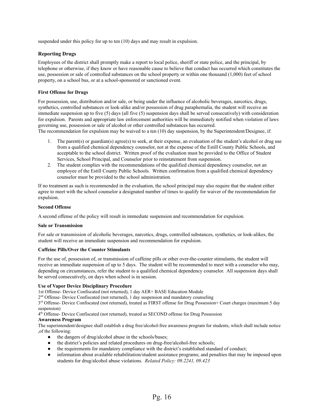<span id="page-15-0"></span>suspended under this policy for up to ten  $(10)$  days and may result in expulsion.

#### **Reporting Drugs**

Employees of the district shall promptly make a report to local police, sheriff or state police, and the principal, by telephone or otherwise, if they know or have reasonable cause to believe that conduct has occurred which constitutes the use, possession or sale of controlled substances on the school property or within one thousand (1,000) feet of school property, on a school bus, or at a school-sponsored or sanctioned event.

#### <span id="page-15-1"></span>**First Offense for Drugs**

For possession, use, distribution and/or sale, or being under the influence of alcoholic beverages, narcotics, drugs, synthetics, controlled substances or look-alike and/or possession of drug paraphernalia, the student will receive an immediate suspension up to five (5) days (all five (5) suspension days shall be served consecutively) with consideration for expulsion. Parents and appropriate law enforcement authorities will be immediately notified when violation of laws governing use, possession or sale of alcohol or other controlled substances has occurred.

The recommendation for expulsion may be waived to a ten (10) day suspension, by the Superintendent/Designee, if:

- 1. The parent(s) or guardian(s) agree(s) to seek, at their expense, an evaluation of the student's alcohol or drug use from a qualified chemical dependency counselor, not at the expense of the Estill County Public Schools, and acceptable to the school district. Written proof of the evaluation must be provided to the Office of Student Services, School Principal, and Counselor prior to reinstatement from suspension.
- 2. The student complies with the recommendations of the qualified chemical dependency counselor, not an employee of the Estill County Public Schools. Written confirmation from a qualified chemical dependency counselor must be provided to the school administration*.*

If no treatment as such is recommended in the evaluation, the school principal may also require that the student either agree to meet with the school counselor a designated number of times to qualify for waiver of the recommendation for expulsion.

#### <span id="page-15-2"></span>**Second Offense**

A second offense of the policy will result in immediate suspension and recommendation for expulsion.

#### <span id="page-15-3"></span>**Sale or Transmission**

For sale or transmission of alcoholic beverages, narcotics, drugs, controlled substances, synthetics, or look-alikes, the student will receive an immediate suspension and recommendation for expulsion.

#### <span id="page-15-4"></span>**Caffeine Pills/Over the Counter Stimulants**

For the use of, possession of, or transmission of caffeine pills or other over-the-counter stimulants, the student will receive an immediate suspension of up to 5 days. The student will be recommended to meet with a counselor who may, depending on circumstances, refer the student to a qualified chemical dependency counselor. All suspension days shall be served consecutively, on days when school is in session.

#### <span id="page-15-5"></span>**Use of Vapor Device Disciplinary Procedure**

1st Offense- Device Confiscated (not returned), 1 day AER+ BASE Education Module

2<sup>nd</sup> Offense- Device Confiscated (not returned), 1 day suspension and mandatory counseling

3<sup>rd</sup> Offense- Device Confiscated (not returned), treated as FIRST offense for Drug Possession+ Court charges (maximum 5 day suspension)

4<sup>th</sup> Offense- Device Confiscated (not returned), treated as SECOND offense for Drug Possession

#### <span id="page-15-6"></span>**Awareness Program**

The superintendent/designee shall establish a drug free/alcohol-free awareness program for students, which shall include notice ,of the following:

- the dangers of drug/alcohol abuse in the schools/buses;
- the district's policies and related procedures on drug-free/alcohol-free schools;
- the requirements for mandatory compliance with the district's established standard of conduct;
- information about available rehabilitation/student assistance programs; and penalties that may be imposed upon students for drug/alcohol abuse violations. *Related Policy: 09.2241, 09.423*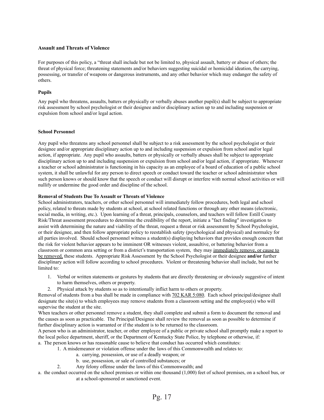#### <span id="page-16-0"></span>**Assault and Threats of Violence**

For purposes of this policy, a "threat shall include but not be limited to, physical assault, battery or abuse of others; the threat of physical force; threatening statements and/or behaviors suggesting suicidal or homicidal ideation, the carrying, possessing, or transfer of weapons or dangerous instruments, and any other behavior which may endanger the safety of others.

#### <span id="page-16-1"></span>**Pupils**

Any pupil who threatens, assaults, batters or physically or verbally abuses another pupil(s) shall be subject to appropriate risk assessment by school psychologist or their designee and/or disciplinary action up to and including suspension or expulsion from school and/or legal action.

#### <span id="page-16-2"></span>**School Personnel**

Any pupil who threatens any school personnel shall be subject to a risk assessment by the school psychologist or their designee and/or appropriate disciplinary action up to and including suspension or expulsion from school and/or legal action, if appropriate. Any pupil who assaults, batters or physically or verbally abuses shall be subject to appropriate disciplinary action up to and including suspension or expulsion from school and/or legal action, if appropriate. Whenever a teacher or school administrator is functioning in his capacity as an employee of a board of education of a public school system, it shall be unlawful for any person to direct speech or conduct toward the teacher or school administrator when such person knows or should know that the speech or conduct will disrupt or interfere with normal school activities or will nullify or undermine the good order and discipline of the school.

#### <span id="page-16-3"></span>**Removal of Students Due To Assault or Threats of Violence**

School administrators, teachers, or other school personnel will immediately follow procedures, both legal and school policy, related to threats made by students at school, at school related functions or through any other means (electronic, social media, in writing, etc.). Upon learning of a threat, principals, counselors, and teachers will follow Estill County Risk/Threat assessment procedures to determine the credibility of the report, initiate a "fact finding" investigation to assist with determining the nature and viability of the threat, request a threat or risk assessment by School Psychologist, or their designee, and then follow appropriate policy to reestablish safety (psychological and physical) and normalcy for all parties involved. Should school personnel witness a student(s) displaying behaviors that provides enough concern that the risk for violent behavior appears to be imminent OR witnesses violent, assaultive, or battering behavior from a classroom or common area setting or from a district's transportation system, they may immediately remove, or cause to be removed, these students. Appropriate Risk Assessment by the School Psychologist or their designee **and/or** further disciplinary action will follow according to school procedures. Violent or threatening behavior shall include, but not be limited to:

- 1. Verbal or written statements or gestures by students that are directly threatening or obviously suggestive of intent to harm themselves, others or property.
- 2. Physical attack by students so as to intentionally inflict harm to others or property.

Removal of students from a bus shall be made in compliance with 702 KAR 5:080. Each school principal/designee shall designate the site(s) to which employees may remove students from a classroom setting and the employee(s) who will supervise the student at the site.

When teachers or other personnel remove a student, they shall complete and submit a form to document the removal and the causes as soon as practicable. The Principal/Designee shall review the removal as soon as possible to determine if further disciplinary action is warranted or if the student is to be returned to the classroom.

A person who is an administrator, teacher, or other employee of a public or private school shall promptly make a report to the local police department, sheriff, or the Department of Kentucky State Police, by telephone or otherwise, if:

- a. The person knows or has reasonable cause to believe that conduct has occurred which constitutes:
	- 1. A misdemeanor or violation offense under the laws of this Commonwealth and relates to:
		- a. carrying, possession, or use of a deadly weapon; or
		- b. use, possession, or sale of controlled substances; or
	- 2. Any felony offense under the laws of this Commonwealth; and
- a. the conduct occurred on the school premises or within one thousand (1,000) feet of school premises, on a school bus, or at a school-sponsored or sanctioned event.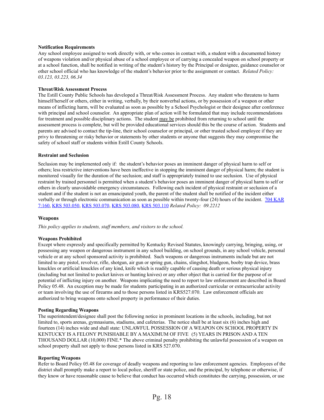#### <span id="page-17-0"></span>**Notification Requirements**

Any school employee assigned to work directly with, or who comes in contact with, a student with a documented history of weapons violation and/or physical abuse of a school employee or of carrying a concealed weapon on school property or at a school function, shall be notified in writing of the student's history by the Principal or designee, guidance counselor or other school official who has knowledge of the student's behavior prior to the assignment or contact. *Related Policy: 03.123, 03.223, 06.34*

#### <span id="page-17-1"></span>**Threat/Risk Assessment Process**

The Estill County Public Schools has developed a Threat/Risk Assessment Process. Any student who threatens to harm himself/herself or others, either in writing, verbally, by their nonverbal actions, or by possession of a weapon or other means of inflicting harm, will be evaluated as soon as possible by a School Psychologist or their designee after conference with principal and school counselor. An appropriate plan of action will be formulated that may include recommendations for treatment and possible disciplinary actions. The student may be prohibited from returning to school until the assessment process is complete, but will be provided educational services should this be the course of action. Students and parents are advised to contact the tip-line, their school counselor or principal, or other trusted school employee if they are privy to threatening or risky behavior or statements by other students or anyone that suggests they may compromise the safety of school staff or students within Estill County Schools.

#### <span id="page-17-2"></span>**Restraint and Seclusion**

Seclusion may be implemented only if: the student's behavior poses an imminent danger of physical harm to self or others; less restrictive interventions have been ineffective in stopping the imminent danger of physical harm; the student is monitored visually for the duration of the seclusion; and staff is appropriately trained to use seclusion. Use of physical restraint by trained personnel is permitted when a student's behavior poses an imminent danger of physical harm to self or others in clearly unavoidable emergency circumstances. Following each incident of physical restraint or seclusion of a student and if the student is not an emancipated youth, the parent of the student shall be notified of the incident either verbally or through electronic communication as soon as possible within twenty-four (24) hours of the incident. 704 [KAR](http://policy.ksba.org/documentmanager.asp?requestarticle=/kar/704/007/160.htm&requesttype=kar) [7:160,](http://policy.ksba.org/documentmanager.asp?requestarticle=/kar/704/007/160.htm&requesttype=kar) KRS [503.050](http://policy.ksba.org/documentmanager.asp?requestarticle=/krs/503-00/050.pdf&requesttype=krs), KRS [503.070](http://policy.ksba.org/documentmanager.asp?requestarticle=/krs/503-00/070.pdf&requesttype=krs), KRS [503.080,](http://policy.ksba.org/documentmanager.asp?requestarticle=/krs/503-00/080.pdf&requesttype=krs) KRS [503.110](http://policy.ksba.org/documentmanager.asp?requestarticle=/krs/503-00/110.pdf&requesttype=krs) *Related Policy: 09.2212*

#### <span id="page-17-3"></span>**Weapons**

*This policy applies to students, staf members, and visitors to the school.*

#### <span id="page-17-4"></span>**Weapons Prohibited**

Except where expressly and specifically permitted by Kentucky Revised Statutes, knowingly carrying, bringing, using, or possessing any weapon or dangerous instrument in any school building, on school grounds, in any school vehicle, personal vehicle or at any school sponsored activity is prohibited. Such weapons or dangerous instruments include but are not limited to any pistol, revolver, rifle, shotgun, air gun or spring gun, chains, slingshot, bludgeon, booby trap device, brass knuckles or artificial knuckles of any kind, knife which is readily capable of causing death or serious physical injury (including but not limited to pocket knives or hunting knives) or any other object that is carried for the purpose of or potential of inflicting injury on another. Weapons implicating the need to report to law enforcement are described in Board Policy 05.48. An exception may be made for students participating in an authorized curricular or extracurricular activity or team involving the use of firearms and to those persons listed in KRS527.070. Law enforcement officials are authorized to bring weapons onto school property in performance of their duties.

#### <span id="page-17-5"></span>**Posting Regarding Weapons**

The superintendent/designee shall post the following notice in prominent locations in the schools, including, but not limited to, sports arenas, gymnasiums, stadiums, and cafeterias. The notice shall be at least six (6) inches high and fourteen (14) inches wide and shall state: UNLAWFUL POSSESSION OF A WEAPON ON SCHOOL PROPERTY IN KENTUCKY IS A FELONY PUNISHABLE BY A MAXIMUM OF FIVE (5) YEARS IN PRISON AND A TEN THOUSAND DOLLAR (10,000) FINE.\* The above criminal penalty prohibiting the unlawful possession of a weapon on school property shall not apply to those persons listed in KRS 527.070.

#### <span id="page-17-6"></span>**Reporting Weapons**

Refer to Board Policy 05.48 for coverage of deadly weapons and reporting to law enforcement agencies. Employees of the district shall promptly make a report to local police, sheriff or state police, and the principal, by telephone or otherwise, if they know or have reasonable cause to believe that conduct has occurred which constitutes the carrying, possession, or use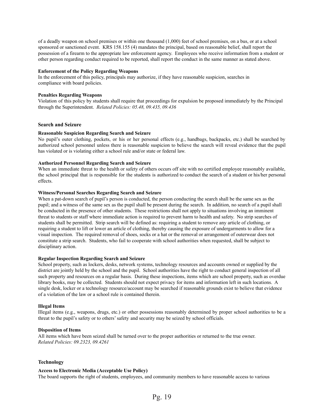of a deadly weapon on school premises or within one thousand (1,000) feet of school premises, on a bus, or at a school sponsored or sanctioned event. KRS 158.155 (4) mandates the principal, based on reasonable belief, shall report the possession of a firearm to the appropriate law enforcement agency. Employees who receive information from a student or other person regarding conduct required to be reported, shall report the conduct in the same manner as stated above.

#### <span id="page-18-0"></span>**Enforcement of the Policy Regarding Weapons**

In the enforcement of this policy, principals may authorize, if they have reasonable suspicion, searches in compliance with board policies.

#### <span id="page-18-1"></span>**Penalties Regarding Weapons**

Violation of this policy by students shall require that proceedings for expulsion be proposed immediately by the Principal through the Superintendent. *Related Policies: 05.48, 09.435, 09.436*

#### <span id="page-18-2"></span>**Search and Seizure**

#### <span id="page-18-3"></span>**Reasonable Suspicion Regarding Search and Seizure**

No pupil's outer clothing, pockets, or his or her personal effects (e.g., handbags, backpacks, etc.) shall be searched by authorized school personnel unless there is reasonable suspicion to believe the search will reveal evidence that the pupil has violated or is violating either a school rule and/or state or federal law.

#### <span id="page-18-4"></span>**Authorized Personnel Regarding Search and Seizure**

When an immediate threat to the health or safety of others occurs off site with no certified employee reasonably available, the school principal that is responsible for the students is authorized to conduct the search of a student or his/her personal effects.

#### <span id="page-18-5"></span>**Witness/Personal Searches Regarding Search and Seizure**

When a pat-down search of pupil's person is conducted, the person conducting the search shall be the same sex as the pupil; and a witness of the same sex as the pupil shall be present during the search. In addition, no search of a pupil shall be conducted in the presence of other students. These restrictions shall not apply to situations involving an imminent threat to students or staff where immediate action is required to prevent harm to health and safety. No strip searches of students shall be permitted. Strip search will be defined as: requiring a student to remove any article of clothing, or requiring a student to lift or lower an article of clothing, thereby causing the exposure of undergarments to allow for a visual inspection. The required removal of shoes, socks or a hat or the removal or arrangement of outerwear does not constitute a strip search. Students, who fail to cooperate with school authorities when requested, shall be subject to disciplinary action.

#### <span id="page-18-6"></span>**Regular Inspection Regarding Search and Seizure**

School property, such as lockers, desks, network systems, technology resources and accounts owned or supplied by the district are jointly held by the school and the pupil. School authorities have the right to conduct general inspection of all such property and resources on a regular basis. During these inspections, items which are school property, such as overdue library books, may be collected. Students should not expect privacy for items and information left in such locations. A single desk, locker or a technology resource/account may be searched if reasonable grounds exist to believe that evidence of a violation of the law or a school rule is contained therein.

#### <span id="page-18-7"></span>**Illegal Items**

Illegal items (e.g., weapons, drugs, etc.) or other possessions reasonably determined by proper school authorities to be a threat to the pupil's safety or to others'safety and security may be seized by school officials.

#### <span id="page-18-8"></span>**Disposition of Items**

All items which have been seized shall be turned over to the proper authorities or returned to the true owner. *Related Policies: 09.2323, 09.4261*

#### <span id="page-18-9"></span>**Technology**

#### <span id="page-18-10"></span>**Access to Electronic Media (Acceptable Use Policy)**

The board supports the right of students, employees, and community members to have reasonable access to various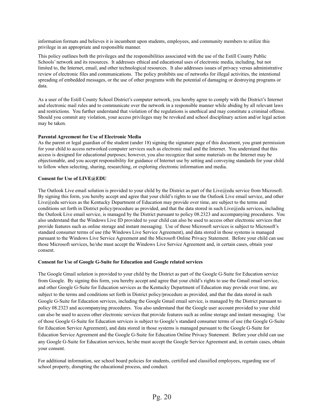information formats and believes it is incumbent upon students, employees, and community members to utilize this privilege in an appropriate and responsible manner.

This policy outlines both the privileges and the responsibilities associated with the use of the Estill County Public Schools' network and its resources. It addresses ethical and educational uses of electronic media, including, but not limited to, the Internet, email, and other technological resources. It also addresses issues of privacy versus administrative review of electronic files and communications. The policy prohibits use of networks for illegal activities, the intentional spreading of embedded messages, or the use of other programs with the potential of damaging or destroying programs or data.

As a user of the Estill County School District's computer network, you hereby agree to comply with the District's Internet and electronic mail rules and to communicate over the network in a responsible manner while abiding by all relevant laws and restrictions. You further understand that violation of the regulations is unethical and may constitute a criminal offense. Should you commit any violation, your access privileges may be revoked and school disciplinary action and/or legal action may be taken.

#### <span id="page-19-0"></span>**Parental Agreement for Use of Electronic Media**

As the parent or legal guardian of the student (under 18) signing the signature page of this document, you grant permission for your child to access networked computer services such as electronic mail and the Internet. You understand that this access is designed for educational purposes; however, you also recognize that some materials on the Internet may be objectionable, and you accept responsibility for guidance of Internet use by setting and conveying standards for your child to follow when selecting, sharing, researching, or exploring electronic information and media.

#### <span id="page-19-1"></span>**Consent for Use of LIVE@EDU**

The Outlook Live email solution is provided to your child by the District as part of the Live@edu service from Microsoft. By signing this form, you hereby accept and agree that your child's rights to use the Outlook Live email service, and other Live@edu services as the Kentucky Department of Education may provide over time, are subject to the terms and conditions set forth in District policy/procedure as provided, and that the data stored in such Live@edu services, including the Outlook Live email service, is managed by the District pursuant to policy 08.2323 and accompanying procedures. You also understand that the Windows Live ID provided to your child can also be used to access other electronic services that provide features such as online storage and instant messaging. Use of those Microsoft services is subject to Microsoft's standard consumer terms of use (the Windows Live Service Agreement), and data stored in those systems is managed pursuant to the Windows Live Service Agreement and the Microsoft Online Privacy Statement. Before your child can use those Microsoft services, he/she must accept the Windows Live Service Agreement and, in certain cases, obtain your consent.

#### <span id="page-19-2"></span>**Consent for Use of Google G-Suite for Education and Google related services**

The Google Gmail solution is provided to your child by the District as part of the Google G-Suite for Education service from Google. By signing this form, you hereby accept and agree that your child's rights to use the Gmail email service, and other Google G-Suite for Education services as the Kentucky Department of Education may provide over time, are subject to the terms and conditions set forth in District policy/procedure as provided, and that the data stored in such Google G-Suite for Education services, including the Google Gmail email service, is managed by the District pursuant to policy 08.2323 and accompanying procedures. You also understand that the Google user account provided to your child can also be used to access other electronic services that provide features such as online storage and instant messaging. Use of those Google G-Suite for Education services is subject to Google's standard consumer terms of use (the Google G-Suite for Education Service Agreement), and data stored in those systems is managed pursuant to the Google G-Suite for Education Service Agreement and the Google G-Suite for Education Online Privacy Statement. Before your child can use any Google G-Suite for Education services, he/she must accept the Google Service Agreement and, in certain cases, obtain your consent.

For additional information, see school board policies for students, certified and classified employees, regarding use of school property, disrupting the educational process, and conduct.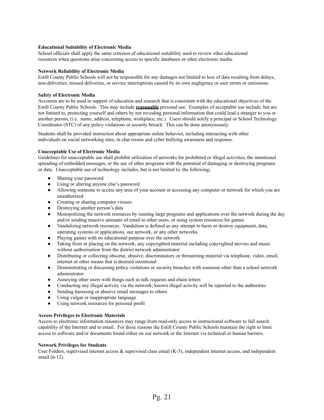#### <span id="page-20-0"></span>**Educational Suitability of Electronic Media**

School officials shall apply the same criterion of educational suitability used to review other educational resources when questions arise concerning access to specific databases or other electronic media.

#### <span id="page-20-1"></span>**Network Reliability of Electronic Media**

Estill County Public Schools will not be responsible for any damages not limited to loss of data resulting from delays, non-deliveries, missed deliveries, or service interruptions caused by its own negligence or user errors or omissions.

#### <span id="page-20-2"></span>**Safety of Electronic Media**

Accounts are to be used in support of education and research that is consistent with the educational objectives of the Estill County Public Schools. This may include **reasonable** personal use. Examples of acceptable use include, but are not limited to, protecting yourself and others by not revealing personal information that could lead a stranger to you or another person, (i.e. name, address, telephone, workplace, etc.). Users should notify a principal or School Technology Coordinator (STC) of any policy violations or security breach. This can be done anonymously.

Students shall be provided instruction about appropriate online behavior, including interacting with other individuals on social networking sites, in chat rooms and cyber bullying awareness and response.

#### <span id="page-20-3"></span>**Unacceptable Use of Electronic Media**

Guidelines for unacceptable use shall prohibit utilization of networks for prohibited or illegal activities, the intentional spreading of embedded messages, or the use of other programs with the potential of damaging or destroying programs or data. Unacceptable use of technology includes, but is not limited to, the following;

- Sharing your password
- Using or altering anyone else's password
- Allowing someone to access any area of your account or accessing any computer or network for which you are unauthorized
- Creating or sharing computer viruses
- Destroying another person's data
- Monopolizing the network resources by running large programs and applications over the network during the day and/or sending massive amounts of email to other users, or using system resources for games
- Vandalizing network resources. Vandalism is defined as any attempt to harm or destroy equipment, data, operating systems or applications, our network, or any other networks
- Playing games with no educational purpose over the network
- Taking from or placing on the network, any copyrighted material including copyrighted movies and music without authorization from the district network administrator
- Distributing or collecting obscene, abusive, discriminatory or threatening material via telephone, video, email, internet or other means that is deemed intentional
- Demonstrating or discussing policy violations or security breaches with someone other than a school network administrator
- Annoying other users with things such as talk requests and chain letters
- Conducting any illegal activity via the network; known illegal activity will be reported to the authorities
- Sending harassing or abusive email messages to others
- Using vulgar or inappropriate language
- Using network resources for personal profit

#### <span id="page-20-4"></span>**Access Privileges to Electronic Materials**

Access to electronic information resources may range from read-only access to instructional software to full search capability of the Internet and to email. For these reasons the Estill County Public Schools maintain the right to limit access to software and/or documents found either on our network or the Internet via technical or human barriers.

#### <span id="page-20-5"></span>**Network Privileges for Students**

User Folders, supervised internet access  $\&$  supervised class email  $(K-5)$ , independent internet access, and independent email (6-12).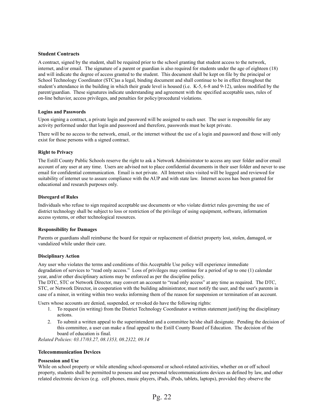#### <span id="page-21-0"></span>**Student Contracts**

A contract, signed by the student, shall be required prior to the school granting that student access to the network, internet, and/or email. The signature of a parent or guardian is also required for students under the age of eighteen (18) and will indicate the degree of access granted to the student. This document shall be kept on file by the principal or School Technology Coordinator (STC)as a legal, binding document and shall continue to be in effect throughout the student's attendance in the building in which their grade level is housed (i.e. K-5, 6-8 and 9-12), unless modified by the parent/guardian. These signatures indicate understanding and agreement with the specified acceptable uses, rules of on-line behavior, access privileges, and penalties for policy/procedural violations.

#### <span id="page-21-1"></span>**Logins and Passwords**

Upon signing a contract, a private login and password will be assigned to each user. The user is responsible for any activity performed under that login and password and therefore, passwords must be kept private.

There will be no access to the network, email, or the internet without the use of a login and password and those will only exist for those persons with a signed contract.

#### <span id="page-21-2"></span>**Right to Privacy**

The Estill County Public Schools reserve the right to ask a Network Administrator to access any user folder and/or email account of any user at any time. Users are advised not to place confidential documents in their user folder and never to use email for confidential communication. Email is not private. All Internet sites visited will be logged and reviewed for suitability of internet use to assure compliance with the AUP and with state law. Internet access has been granted for educational and research purposes only.

#### <span id="page-21-3"></span>**Disregard of Rules**

Individuals who refuse to sign required acceptable use documents or who violate district rules governing the use of district technology shall be subject to loss or restriction of the privilege of using equipment, software, information access systems, or other technological resources.

#### <span id="page-21-4"></span>**Responsibility for Damages**

Parents or guardians shall reimburse the board for repair or replacement of district property lost, stolen, damaged, or vandalized while under their care.

#### <span id="page-21-5"></span>**Disciplinary Action**

Any user who violates the terms and conditions of this Acceptable Use policy will experience immediate degradation of services to "read only access." Loss of privileges may continue for a period of up to one (1) calendar year, and/or other disciplinary actions may be enforced as per the discipline policy.

The DTC, STC or Network Director, may convert an account to "read only access" at any time as required. The DTC, STC, or Network Director, in cooperation with the building administrator, must notify the user, and the user's parents in case of a minor, in writing within two weeks informing them of the reason for suspension or termination of an account.

Users whose accounts are denied, suspended, or revoked do have the following rights:

- 1. To request (in writing) from the District Technology Coordinator a written statement justifying the disciplinary actions.
- 2. To submit a written appeal to the superintendent and a committee he/she shall designate. Pending the decision of this committee, a user can make a final appeal to the Estill County Board of Education. The decision of the board of education is final.

<span id="page-21-6"></span>*Related Policies: 03.17/03.27, 08.1353, 08.2322, 09.14*

#### **Telecommunication Devices**

#### <span id="page-21-7"></span>**Possession and Use**

While on school property or while attending school-sponsored or school-related activities, whether on or off school property, students shall be permitted to possess and use personal telecommunications devices as defined by law, and other related electronic devices (e.g. cell phones, music players, iPads, iPods, tablets, laptops), provided they observe the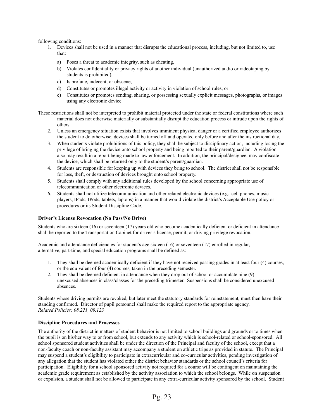following conditions:

- 1. Devices shall not be used in a manner that disrupts the educational process, including, but not limited to, use that:
	- a) Poses a threat to academic integrity, such as cheating,
	- b) Violates confidentiality or privacy rights of another individual (unauthorized audio or videotaping by students is prohibited),
	- c) Is profane, indecent, or obscene,
	- d) Constitutes or promotes illegal activity or activity in violation of school rules, or
	- e) Constitutes or promotes sending, sharing, or possessing sexually explicit messages, photographs, or images using any electronic device

These restrictions shall not be interpreted to prohibit material protected under the state or federal constitutions where such material does not otherwise materially or substantially disrupt the education process or intrude upon the rights of others.

- 2. Unless an emergency situation exists that involves imminent physical danger or a certified employee authorizes the student to do otherwise, devices shall be turned off and operated only before and after the instructional day.
- 3. When students violate prohibitions of this policy, they shall be subject to disciplinary action, including losing the privilege of bringing the device onto school property and being reported to their parent/guardian. A violation also may result in a report being made to law enforcement. In addition, the principal/designee, may confiscate the device, which shall be returned only to the student's parent/guardian.
- 4. Students are responsible for keeping up with devices they bring to school. The district shall not be responsible for loss, theft, or destruction of devices brought onto school property.
- 5. Students shall comply with any additional rules developed by the school concerning appropriate use of telecommunication or other electronic devices.
- 6. Students shall not utilize telecommunication and other related electronic devices (e.g. cell phones, music players, IPads, IPods, tablets, laptops) in a manner that would violate the district's Acceptable Use policy or procedures or its Student Discipline Code.

#### <span id="page-22-0"></span>**Driver's License Revocation (No Pass/No Drive)**

Students who are sixteen (16) or seventeen (17) years old who become academically deficient or deficient in attendance shall be reported to the Transportation Cabinet for driver's license, permit, or driving privilege revocation.

Academic and attendance deficiencies for student's age sixteen (16) or seventeen (17) enrolled in regular, alternative, part-time, and special education programs shall be defined as:

- 1. They shall be deemed academically deficient if they have not received passing grades in at least four (4) courses, or the equivalent of four (4) courses, taken in the preceding semester.
- 2. They shall be deemed deficient in attendance when they drop out of school or accumulate nine (9) unexcused absences in class/classes for the preceding trimester. Suspensions shall be considered unexcused absences.

Students whose driving permits are revoked, but later meet the statutory standards for reinstatement, must then have their standing confirmed. Director of pupil personnel shall make the required report to the appropriate agency. *Related Policies: 08.221, 09.123*

#### <span id="page-22-1"></span>**Discipline Procedures and Processes**

The authority of the district in matters of student behavior is not limited to school buildings and grounds or to times when the pupil is on his/her way to or from school, but extends to any activity which is school-related or school-sponsored. All school sponsored student activities shall be under the direction of the Principal and faculty of the school, except that a non-faculty coach or non-faculty assistant may accompany a student on athletic trips as provided in statute. The Principal may suspend a student's eligibility to participate in extracurricular and co-curricular activities, pending investigation of any allegation that the student has violated either the district behavior standards or the school council's criteria for participation. Eligibility for a school sponsored activity not required for a course will be contingent on maintaining the academic grade requirement as established by the activity association to which the school belongs. While on suspension or expulsion, a student shall not be allowed to participate in any extra-curricular activity sponsored by the school. Student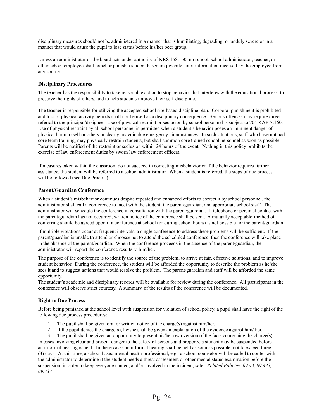disciplinary measures should not be administered in a manner that is humiliating, degrading, or unduly severe or in a manner that would cause the pupil to lose status before his/her peer group.

Unless an administrator or the board acts under authority of KRS 158.150, no school, school administrator, teacher, or other school employee shall expel or punish a student based on juvenile court information received by the employee from any source.

#### <span id="page-23-0"></span>**Disciplinary Procedures**

The teacher has the responsibility to take reasonable action to stop behavior that interferes with the educational process, to preserve the rights of others, and to help students improve their self-discipline.

The teacher is responsible for utilizing the accepted school site-based discipline plan. Corporal punishment is prohibited and loss of physical activity periods shall not be used as a disciplinary consequence. Serious offenses may require direct referral to the principal/designee. Use of physical restraint or seclusion by school personnel is subject to 704 KAR 7:160. Use of physical restraint by all school personnel is permitted when a student's behavior poses an imminent danger of physical harm to self or others in clearly unavoidable emergency circumstances. In such situations, staff who have not had core team training, may physically restrain students, but shall summon core trained school personnel as soon as possible. Parents will be notified of the restraint or seclusion within 24 hours of the event. Nothing in this policy prohibits the exercise of law enforcement duties by sworn law enforcement officers.

If measures taken within the classroom do not succeed in correcting misbehavior or if the behavior requires further assistance, the student will be referred to a school administrator. When a student is referred, the steps of due process will be followed (see Due Process).

#### <span id="page-23-1"></span>**Parent/Guardian Conference**

When a student's misbehavior continues despite repeated and enhanced efforts to correct it by school personnel, the administrator shall call a conference to meet with the student, the parent/guardian, and appropriate school staff. The administrator will schedule the conference in consultation with the parent/guardian. If telephone or personal contact with the parent/guardian has not occurred, written notice of the conference shall be sent. A mutually acceptable method of conferring should be agreed upon if a conference at school (or during school hours) is not possible for the parent/guardian.

If multiple violations occur at frequent intervals, a single conference to address these problems will be sufficient. If the parent/guardian is unable to attend or chooses not to attend the scheduled conference, then the conference will take place in the absence of the parent/guardian. When the conference proceeds in the absence of the parent/guardian, the administrator will report the conference results to him/her.

The purpose of the conference is to identify the source of the problem; to arrive at fair, effective solutions; and to improve student behavior. During the conference, the student will be afforded the opportunity to describe the problem as he/she sees it and to suggest actions that would resolve the problem. The parent/guardian and staff will be afforded the same opportunity.

The student's academic and disciplinary records will be available for review during the conference. All participants in the conference will observe strict courtesy. A summary of the results of the conference will be documented.

#### <span id="page-23-2"></span>**Right to Due Process**

Before being punished at the school level with suspension for violation of school policy, a pupil shall have the right of the following due process procedures:

- 1. The pupil shall be given oral or written notice of the charge(s) against him/her.
- 2. If the pupil denies the charge(s), he/she shall be given an explanation of the evidence against him/ her.

3. The pupil shall be given an opportunity to present his/her own version of the facts concerning the charge(s). In cases involving clear and present danger to the safety of persons and property, a student may be suspended before an informal hearing is held. In these cases an informal hearing shall be held as soon as possible, not to exceed three (3) days. At this time, a school based mental health professional, e.g. a school counselor will be called to confer with the administrator to determine if the student needs a threat assessment or other mental status examination before the suspension, in order to keep everyone named, and/or involved in the incident, safe. *Related Policies: 09.43, 09.433, 09.434*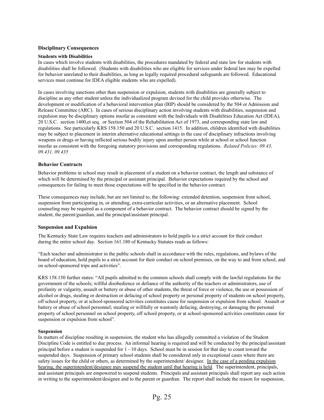#### <span id="page-24-0"></span>**Disciplinary Consequences**

#### <span id="page-24-1"></span>**Students with Disabilities**

In cases which involve students with disabilities, the procedures mandated by federal and state law for students with disabilities shall be followed. (Students with disabilities who are eligible for services under federal law may be expelled for behavior unrelated to their disabilities, as long as legally required procedural safeguards are followed. Educational services must continue for IDEA eligible students who are expelled).

In cases involving sanctions other than suspension or expulsion, students with disabilities are generally subject to discipline as any other student unless the individualized program devised for the child provides otherwise. The development or modification of a behavioral intervention plan (BIP) should be considered by the 504 or Admission and Release Committee (ARC). In cases of serious disciplinary action involving students with disabilities, suspension and expulsion may be disciplinary options insofar as consistent with the Individuals with Disabilities Education Act (IDEA), 20 U.S.C. section 1400,et seq. or Section 504 of the Rehabilitation Act of 1973, and corresponding state law and regulations. See particularly KRS 158.150 and 20 U.S.C. section 1415. In addition, children identified with disabilities may be subject to placement in interim alternative educational settings in the case of disciplinary infractions involving weapons or drugs or having inflicted serious bodily injury upon another person while at school or school function insofar as consistent with the foregoing statutory provisions and corresponding regulations. *Related Policies: 09.43, 09.431, 09.435*

#### <span id="page-24-2"></span>**Behavior Contracts**

Behavior problems in school may result in placement of a student on a behavior contract, the length and substance of which will be determined by the principal or assistant principal. Behavior expectations required by the school and consequences for failing to meet those expectations will be specified in the behavior contract.

These consequences may include, but are not limited to, the following: extended detention, suspension from school, suspension from participating in, or attending, extra-curricular activities, or an alternative placement. School counseling may be required as a component of a behavior contract. The behavior contract should be signed by the student, the parent/guardian, and the principal/assistant principal.

#### <span id="page-24-3"></span>**Suspension and Expulsion**

The Kentucky State Law requires teachers and administrators to hold pupils to a strict account for their conduct during the entire school day. Section 161.180 of Kentucky Statutes reads as follows:

"Each teacher and administrator in the public schools shall in accordance with the rules, regulations, and bylaws of the board of education, hold pupils to a strict account for their conduct on school premises, on the way to and from school, and on school-sponsored trips and activities".

KRS 158.150 further states: "All pupils admitted to the common schools shall comply with the lawful regulations for the government of the schools; willful disobedience or defiance of the authority of the teachers or administrators, use of profanity or vulgarity, assault or battery or abuse of other students, the threat of force or violence, the use or possession of alcohol or drugs, stealing or destruction or defacing of school property or personal property of students on school property, off school property, or at school-sponsored activities constitutes cause for suspension or expulsion from school. Assault or battery or abuse of school personnel; stealing or willfully or wantonly defacing, destroying, or damaging the personal property of school personnel on school property, off school property, or at school-sponsored activities constitutes cause for suspension or expulsion from school".

#### <span id="page-24-4"></span>**Suspension**

In matters of discipline resulting in suspension, the student who has allegedly committed a violation of the Student Discipline Code is entitled to due process. An informal hearing is required and will be conducted by the principal/assistant principal before a student is suspended for 1 - 10 days. School must be in session for that day to count toward the suspended days. Suspension of primary school students shall be considered only in exceptional cases where there are safety issues for the child or others, as determined by the superintendent/ designee. In the case of a pending expulsion hearing, the superintendent/designee may suspend the student until that hearing is held. The superintendent, principals, and assistant principals are empowered to suspend students. Principals and assistant principals shall report any such action in writing to the superintendent/designee and to the parent or guardian. The report shall include the reason for suspension,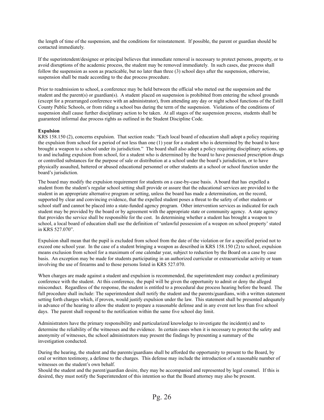the length of time of the suspension, and the conditions for reinstatement. If possible, the parent or guardian should be contacted immediately.

If the superintendent/designee or principal believes that immediate removal is necessary to protect persons, property, or to avoid disruptions of the academic process, the student may be removed immediately. In such cases, due process shall follow the suspension as soon as practicable, but no later than three (3) school days after the suspension, otherwise, suspension shall be made according to the due process procedure.

Prior to readmission to school, a conference may be held between the official who meted out the suspension and the student and the parent(s) or guardian(s). A student placed on suspension is prohibited from entering the school grounds (except for a prearranged conference with an administrator), from attending any day or night school functions of the Estill County Public Schools, or from riding a school bus during the term of the suspension. Violations of the conditions of suspension shall cause further disciplinary action to be taken. At all stages of the suspension process, students shall be guaranteed informal due process rights as outlined in the Student Discipline Code.

#### <span id="page-25-0"></span>**Expulsion**

KRS 158.150 (2), concerns expulsion. That section reads: "Each local board of education shall adopt a policy requiring the expulsion from school for a period of not less than one (1) year for a student who is determined by the board to have brought a weapon to a school under its jurisdiction." The board shall also adopt a policy requiring disciplinary actions, up to and including expulsion from school, for a student who is determined by the board to have possessed prescription drugs or controlled substances for the purpose of sale or distribution at a school under the board's jurisdiction, or to have physically assaulted, battered or abused educational personnel or other students at a school or school function under the board's jurisdiction.

The board may modify the expulsion requirement for students on a case-by-case basis. A board that has expelled a student from the student's regular school setting shall provide or assure that the educational services are provided to the student in an appropriate alternative program or setting, unless the board has made a determination, on the record, supported by clear and convincing evidence, that the expelled student poses a threat to the safety of other students or school staff and cannot be placed into a state-funded agency program. Other intervention services as indicated for each student may be provided by the board or by agreement with the appropriate state or community agency. A state agency that provides the service shall be responsible for the cost. In determining whether a student has brought a weapon to school, a local board of education shall use the definition of 'unlawful possession of a weapon on school property' stated in KRS 527.070".

Expulsion shall mean that the pupil is excluded from school from the date of the violation or for a specified period not to exceed one school year. In the case of a student bringing a weapon as described in KRS 158.150 (2) to school, expulsion means exclusion from school for a maximum of one calendar year, subject to reduction by the Board on a case by case basis. An exception may be made for students participating in an authorized curricular or extracurricular activity or team involving the use of firearms and to those persons listed in KRS 527.070.

When charges are made against a student and expulsion is recommended, the superintendent may conduct a preliminary conference with the student. At this conference, the pupil will be given the opportunity to admit or deny the alleged misconduct. Regardless of the response, the student is entitled to a procedural due process hearing before the board. The full procedure shall include: The superintendent shall notify the student and the parents/guardians, with a written statement setting forth charges which, if proven, would justify expulsion under the law. This statement shall be presented adequately in advance of the hearing to allow the student to prepare a reasonable defense and in any event not less than five school days. The parent shall respond to the notification within the same five school day limit.

Administrators have the primary responsibility and particularized knowledge to investigate the incident(s) and to determine the reliability of the witnesses and the evidence. In certain cases when it is necessary to protect the safety and anonymity of witnesses, the school administrators may present the findings by presenting a summary of the investigation conducted.

During the hearing, the student and the parents/guardians shall be afforded the opportunity to present to the Board, by oral or written testimony, a defense to the charges. This defense may include the introduction of a reasonable number of witnesses on the student's own behalf.

Should the student and the parent/guardian desire, they may be accompanied and represented by legal counsel. If this is desired, they must notify the Superintendent of this intention so that the Board attorney may also be present.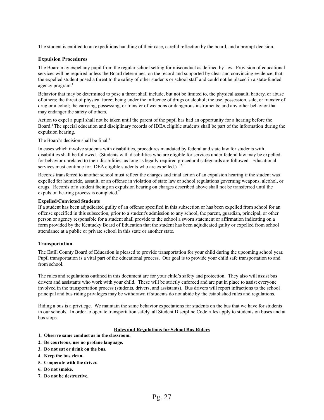<span id="page-26-0"></span>The student is entitled to an expeditious handling of their case, careful reflection by the board, and a prompt decision.

#### **Expulsion Procedures**

The Board may expel any pupil from the regular school setting for misconduct as defined by law. Provision of educational services will be required unless the Board determines, on the record and supported by clear and convincing evidence, that the expelled student posed a threat to the safety of other students or school staff and could not be placed in a state-funded agency program. 1

Behavior that may be determined to pose a threat shall include, but not be limited to, the physical assault, battery, or abuse of others; the threat of physical force; being under the influence of drugs or alcohol; the use, possession, sale, or transfer of drug or alcohol; the carrying, possessing, or transfer of weapons or dangerous instruments; and any other behavior that may endanger the safety of others.

Action to expel a pupil shall not be taken until the parent of the pupil has had an opportunity for a hearing before the Board. <sup>1</sup>The special education and disciplinary records of IDEA eligible students shall be part of the information during the expulsion hearing.

The Board's decision shall be final.<sup>1</sup>

In cases which involve students with disabilities, procedures mandated by federal and state law for students with disabilities shall be followed. (Students with disabilities who are eligible for services under federal law may be expelled for behavior unrelated to their disabilities, as long as legally required procedural safeguards are followed. Educational services must continue for IDEA eligible students who are expelled.)  $183$ 

Records transferred to another school must reflect the charges and final action of an expulsion hearing if the student was expelled for homicide, assault, or an offense in violation of state law or school regulations governing weapons, alcohol, or drugs. Records of a student facing an expulsion hearing on charges described above shall not be transferred until the expulsion hearing process is completed.<sup>2</sup>

#### <span id="page-26-1"></span>**Expelled/Convicted Students**

If a student has been adjudicated guilty of an offense specified in this subsection or has been expelled from school for an offense specified in this subsection, prior to a student's admission to any school, the parent, guardian, principal, or other person or agency responsible for a student shall provide to the school a sworn statement or affirmation indicating on a form provided by the Kentucky Board of Education that the student has been adjudicated guilty or expelled from school attendance at a public or private school in this state or another state.

#### <span id="page-26-2"></span>**Transportation**

The Estill County Board of Education is pleased to provide transportation for your child during the upcoming school year. Pupil transportation is a vital part of the educational process. Our goal is to provide your child safe transportation to and from school.

The rules and regulations outlined in this document are for your child's safety and protection. They also will assist bus drivers and assistants who work with your child. These will be strictly enforced and are put in place to assist everyone involved in the transportation process (students, drivers, and assistants). Bus drivers will report infractions to the school principal and bus riding privileges may be withdrawn if students do not abide by the established rules and regulations.

Riding a bus is a privilege. We maintain the same behavior expectations for students on the bus that we have for students in our schools. In order to operate transportation safely, all Student Discipline Code rules apply to students on buses and at bus stops.

#### **Rules and Regulations for School Bus Riders**

- <span id="page-26-3"></span>**1. Observe same conduct as in the classroom.**
- **2. Be courteous, use no profane language.**
- **3. Do not eat or drink on the bus.**
- **4. Keep the bus clean.**
- **5. Cooperate with the driver.**
- **6. Do not smoke.**
- **7. Do not be destructive.**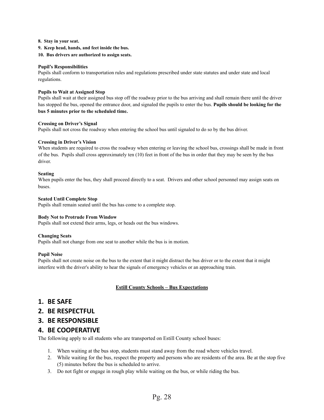- **8. Stay in your seat.**
- **9. Keep head, hands, and feet inside the bus.**
- **10. Bus drivers are authorized to assign seats.**

#### <span id="page-27-0"></span>**Pupil's Responsibilities**

Pupils shall conform to transportation rules and regulations prescribed under state statutes and under state and local regulations.

#### <span id="page-27-1"></span>**Pupils to Wait at Assigned Stop**

Pupils shall wait at their assigned bus stop off the roadway prior to the bus arriving and shall remain there until the driver has stopped the bus, opened the entrance door, and signaled the pupils to enter the bus. **Pupils should be looking for the bus 5 minutes prior to the scheduled time.**

#### <span id="page-27-2"></span>**Crossing on Driver's Signal**

Pupils shall not cross the roadway when entering the school bus until signaled to do so by the bus driver.

#### <span id="page-27-3"></span>**Crossing in Driver's Vision**

When students are required to cross the roadway when entering or leaving the school bus, crossings shall be made in front of the bus. Pupils shall cross approximately ten (10) feet in front of the bus in order that they may be seen by the bus driver.

#### <span id="page-27-4"></span>**Seating**

When pupils enter the bus, they shall proceed directly to a seat. Drivers and other school personnel may assign seats on buses.

#### <span id="page-27-5"></span>**Seated Until Complete Stop**

Pupils shall remain seated until the bus has come to a complete stop.

#### <span id="page-27-6"></span>**Body Not to Protrude From Window**

Pupils shall not extend their arms, legs, or heads out the bus windows.

#### <span id="page-27-7"></span>**Changing Seats**

Pupils shall not change from one seat to another while the bus is in motion.

#### <span id="page-27-8"></span>**Pupil Noise**

<span id="page-27-9"></span>Pupils shall not create noise on the bus to the extent that it might distract the bus driver or to the extent that it might interfere with the driver's ability to hear the signals of emergency vehicles or an approaching train.

#### **Estill County Schools – Bus Expectations**

#### **1. BE SAFE**

**2. BE RESPECTFUL**

#### **3. BE RESPONSIBLE**

#### **4. BE COOPERATIVE**

The following apply to all students who are transported on Estill County school buses:

- 1. When waiting at the bus stop, students must stand away from the road where vehicles travel.
- 2. While waiting for the bus, respect the property and persons who are residents of the area. Be at the stop five (5) minutes before the bus is scheduled to arrive.
- 3. Do not fight or engage in rough play while waiting on the bus, or while riding the bus.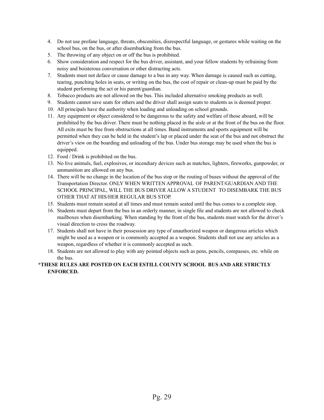- 4. Do not use profane language, threats, obscenities, disrespectful language, or gestures while waiting on the school bus, on the bus, or after disembarking from the bus.
- 5. The throwing of any object on or off the bus is prohibited.
- 6. Show consideration and respect for the bus driver, assistant, and your fellow students by refraining from noisy and boisterous conversation or other distracting acts.
- 7. Students must not deface or cause damage to a bus in any way. When damage is caused such as cutting, tearing, punching holes in seats, or writing on the bus, the cost of repair or clean-up must be paid by the student performing the act or his parent/guardian.
- 8. Tobacco products are not allowed on the bus. This included alternative smoking products as well.
- 9. Students cannot save seats for others and the driver shall assign seats to students as is deemed proper.
- 10. All principals have the authority when loading and unloading on school grounds.
- 11. Any equipment or object considered to be dangerous to the safety and welfare of those aboard, will be prohibited by the bus driver. There must be nothing placed in the aisle or at the front of the bus on the floor. All exits must be free from obstructions at all times. Band instruments and sports equipment will be permitted when they can be held in the student's lap or placed under the seat of the bus and not obstruct the driver's view on the boarding and unloading of the bus. Under bus storage may be used when the bus is equipped.
- 12. Food / Drink is prohibited on the bus.
- 13. No live animals, fuel, explosives, or incendiary devices such as matches, lighters, fireworks, gunpowder, or ammunition are allowed on any bus.
- 14. There will be no change in the location of the bus stop or the routing of buses without the approval of the Transportation Director. ONLY WHEN WRITTEN APPROVAL OF PARENT/GUARDIAN AND THE SCHOOL PRINCIPAL, WILL THE BUS DRIVER ALLOW A STUDENT TO DISEMBARK THE BUS OTHER THAT AT HIS/HER REGULAR BUS STOP.
- 15. Students must remain seated at all times and must remain seated until the bus comes to a complete stop.
- 16. Students must depart from the bus in an orderly manner, in single file and students are not allowed to check mailboxes when disembarking. When standing by the front of the bus, students must watch for the driver's visual direction to cross the roadway.
- 17. Students shall not have in their possession any type of unauthorized weapon or dangerous articles which might be used as a weapon or is commonly accepted as a weapon. Students shall not use any articles as a weapon, regardless of whether it is commonly accepted as such.
- 18. Students are not allowed to play with any pointed objects such as pens, pencils, compasses, etc. while on the bus.

#### **\*THESE RULES ARE POSTED ON EACH ESTILL COUNTY SCHOOL BUS AND ARE STRICTLY ENFORCED.**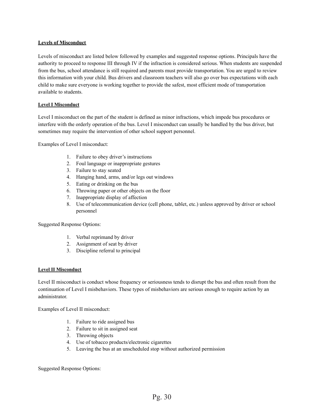#### <span id="page-29-0"></span>**Levels of Misconduct**

Levels of misconduct are listed below followed by examples and suggested response options. Principals have the authority to proceed to response III through IV if the infraction is considered serious. When students are suspended from the bus, school attendance is still required and parents must provide transportation. You are urged to review this information with your child. Bus drivers and classroom teachers will also go over bus expectations with each child to make sure everyone is working together to provide the safest, most efficient mode of transportation available to students.

#### <span id="page-29-2"></span><span id="page-29-1"></span>**Level I Misconduct**

Level I misconduct on the part of the student is defined as minor infractions, which impede bus procedures or interfere with the orderly operation of the bus. Level I misconduct can usually be handled by the bus driver, but sometimes may require the intervention of other school support personnel.

Examples of Level I misconduct:

- 1. Failure to obey driver's instructions
- 2. Foul language or inappropriate gestures
- 3. Failure to stay seated
- 4. Hanging hand, arms, and/or legs out windows
- 5. Eating or drinking on the bus
- 6. Throwing paper or other objects on the floor
- 7. Inappropriate display of affection
- 8. Use of telecommunication device (cell phone, tablet, etc.) unless approved by driver or school personnel

Suggested Response Options:

- 1. Verbal reprimand by driver
- 2. Assignment of seat by driver
- 3. Discipline referral to principal

#### <span id="page-29-3"></span>**Level II Misconduct**

Level II misconduct is conduct whose frequency or seriousness tends to disrupt the bus and often result from the continuation of Level I misbehaviors. These types of misbehaviors are serious enough to require action by an administrator.

Examples of Level II misconduct:

- 1. Failure to ride assigned bus
- 2. Failure to sit in assigned seat
- 3. Throwing objects
- 4. Use of tobacco products/electronic cigarettes
- 5. Leaving the bus at an unscheduled stop without authorized permission

Suggested Response Options: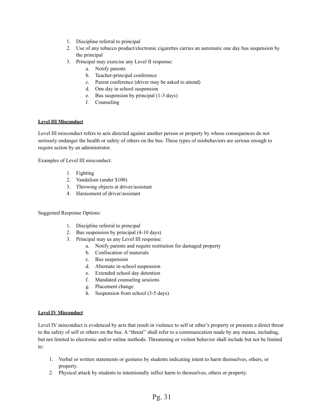- 1. Discipline referral to principal
- 2. Use of any tobacco product/electronic cigarettes carries an automatic one day bus suspension by the principal
- 3. Principal may exercise any Level II response:
	- a. Notify parents
	- b. Teacher-principal conference
	- c. Parent conference (driver may be asked to attend)
	- d. One day in school suspension
	- e. Bus suspension by principal (1-3 days)
	- f. Counseling

#### <span id="page-30-0"></span>**Level III Misconduct**

Level III misconduct refers to acts directed against another person or property by whose consequences do not seriously endanger the health or safety of others on the bus. These types of misbehaviors are serious enough to require action by an administrator.

Examples of Level III misconduct:

- 1. Fighting
- 2. Vandalism (under \$100)
- 3. Throwing objects at driver/assistant
- 4. Harassment of driver/assistant

Suggested Response Options:

- 1. Discipline referral to principal
- 2. Bus suspension by principal (4-10 days)
- 3. Principal may us any Level III response:
	- a. Notify parents and require restitution for damaged property
	- b. Confiscation of materials
	- c. Bus suspension
	- d. Alternate in-school suspension
	- e. Extended school day detention
	- f. Mandated counseling sessions
	- g. Placement change
	- h. Suspension from school (3-5 days)

#### <span id="page-30-1"></span>**Level IV Misconduct**

Level IV misconduct is evidenced by acts that result in violence to self or other's property or presents a direct threat to the safety of self or others on the bus. A "threat" shall refer to a communication made by any means, including, but not limited to electronic and/or online methods. Threatening or violent behavior shall include but not be limited to:

- 1. Verbal or written statements or gestures by students indicating intent to harm themselves, others, or property.
- 2. Physical attack by students to intentionally inflict harm to themselves, others or property.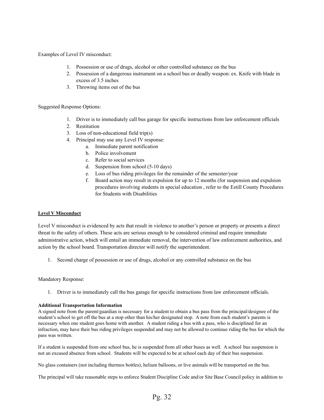Examples of Level IV misconduct:

- 1. Possession or use of drugs, alcohol or other controlled substance on the bus
- 2. Possession of a dangerous instrument on a school bus or deadly weapon: ex. Knife with blade in excess of 3.5 inches
- 3. Throwing items out of the bus

Suggested Response Options:

- 1. Driver is to immediately call bus garage for specific instructions from law enforcement officials
- 2. Restitution
- 3. Loss of non-educational field trip(s)
- 4. Principal may use any Level IV response:
	- a. Immediate parent notification
	- b. Police involvement
	- c. Refer to social services
	- d. Suspension from school (5-10 days)
	- e. Loss of bus riding privileges for the remainder of the semester/year
	- f. Board action may result in expulsion for up to 12 months (for suspension and expulsion procedures involving students in special education , refer to the Estill County Procedures for Students with Disabilities

#### <span id="page-31-0"></span>**Level V Misconduct**

Level V misconduct is evidenced by acts that result in violence to another's person or property or presents a direct threat to the safety of others. These acts are serious enough to be considered criminal and require immediate administrative action, which will entail an immediate removal, the intervention of law enforcement authorities, and action by the school board. Transportation director will notify the superintendent.

1. Second charge of possession or use of drugs, alcohol or any controlled substance on the bus

#### Mandatory Response:

1. Driver is to immediately call the bus garage for specific instructions from law enforcement officials.

#### <span id="page-31-1"></span>**Additional Transportation Information**

A signed note from the parent/guardian is necessary for a student to obtain a bus pass from the principal/designee of the student's school to get off the bus at a stop other than his/her designated stop. A note from each student's parents is necessary when one student goes home with another. A student riding a bus with a pass, who is disciplined for an infraction, may have their bus riding privileges suspended and may not be allowed to continue riding the bus for which the pass was written.

If a student is suspended from one school bus, he is suspended from all other buses as well. A school bus suspension is not an excused absence from school. Students will be expected to be at school each day of their bus suspension.

No glass containers (not including thermos bottles), helium balloons, or live animals will be transported on the bus.

The principal will take reasonable steps to enforce Student Discipline Code and/or Site Base Council policy in addition to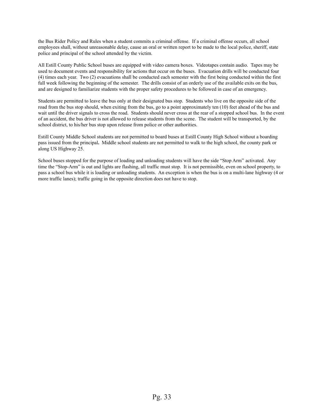the Bus Rider Policy and Rules when a student commits a criminal offense. If a criminal offense occurs, all school employees shall, without unreasonable delay, cause an oral or written report to be made to the local police, sheriff, state police and principal of the school attended by the victim.

All Estill County Public School buses are equipped with video camera boxes. Videotapes contain audio. Tapes may be used to document events and responsibility for actions that occur on the buses. Evacuation drills will be conducted four (4) times each year. Two (2) evacuations shall be conducted each semester with the first being conducted within the first full week following the beginning of the semester. The drills consist of an orderly use of the available exits on the bus, and are designed to familiarize students with the proper safety procedures to be followed in case of an emergency.

Students are permitted to leave the bus only at their designated bus stop. Students who live on the opposite side of the road from the bus stop should, when exiting from the bus, go to a point approximately ten (10) feet ahead of the bus and wait until the driver signals to cross the road. Students should never cross at the rear of a stopped school bus. In the event of an accident, the bus driver is not allowed to release students from the scene. The student will be transported, by the school district, to his/her bus stop upon release from police or other authorities.

Estill County Middle School students are not permitted to board buses at Estill County High School without a boarding pass issued from the principal**.** Middle school students are not permitted to walk to the high school, the county park or along US Highway 25.

School buses stopped for the purpose of loading and unloading students will have the side "Stop Arm" activated. Any time the "Stop-Arm" is out and lights are flashing, all traffic must stop. It is not permissible, even on school property, to pass a school bus while it is loading or unloading students. An exception is when the bus is on a multi-lane highway (4 or more traffic lanes); traffic going in the opposite direction does not have to stop.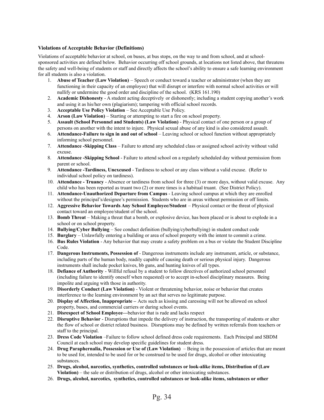#### <span id="page-33-0"></span>**Violations of Acceptable Behavior (Definitions)**

Violations of acceptable behavior at school, on buses, at bus stops, on the way to and from school, and at schoolsponsored activities are defined below. Behavior occurring off school grounds, at locations not listed above, that threatens the safety and well-being of students or staff and directly affects the school's ability to ensure a safe learning environment for all students is also a violation.

- 1. **Abuse of Teacher (Law Violation)** Speech or conduct toward a teacher or administrator (when they are functioning in their capacity of an employee) that will disrupt or interfere with normal school activities or will nullify or undermine the good order and discipline of the school. (KRS 161.190)
- 2. **Academic Dishonesty** A student acting deceptively or dishonestly; including a student copying another's work and using it as his/her own (plagiarism); tampering with official school records.
- 3. **Acceptable Use Policy Violation** See Acceptable Use Policy.
- 4. **Arson (Law Violation)** Starting or attempting to start a fire on school property.
- 5. **Assault (School Personnel and Students) (Law Violation)** Physical contact of one person or a group of persons on another with the intent to injure. Physical sexual abuse of any kind is also considered assault.
- 6. **Attendance-Failure to sign in and out of school** Leaving school or school function without appropriately informing school personnel.
- 7. **Attendance -Skipping Class** Failure to attend any scheduled class or assigned school activity without valid excuse.
- 8. **Attendance -Skipping School** Failure to attend school on a regularly scheduled day without permission from parent or school.
- 9. **Attendance -Tardiness, Unexcused** Tardiness to school or any class without a valid excuse. (Refer to individual school policy on tardiness).
- 10. **Attendance - Truancy** Absence or tardiness from school for three (3) or more days, without valid excuse. Any child who has been reported as truant two (2) or more times is a habitual truant. (See District Policy).
- 11. **Attendance-Unauthorized Departure from Campus** Leaving school campus at which they are enrolled without the principal's/designee's permission. Students who are in areas without permission or off limits.
- 12. **Aggressive Behavior Towards Any School Employee/Student** Physical contact or the threat of physical contact toward an employee/student of the school.
- 13. **Bomb Threat** Making a threat that a bomb, or explosive device, has been placed or is about to explode in a school or on school property.
- 14. **Bullying/Cyber Bullying** See conduct definition (bullying/cyberbullying) in student conduct code
- 15. **Burglary** Unlawfully entering a building or area of school property with the intent to commit a crime.
- 16. **Bus Rules Violation** Any behavior that may create a safety problem on a bus or violate the Student Discipline Code.
- 17. **Dangerous Instruments, Possession of** Dangerous instruments include any instrument, article, or substance, including parts of the human body, readily capable of causing death or serious physical injury. Dangerous instruments shall include pocket knives, bb guns, and hunting knives of all types.
- 18. **Defiance of Authority** Willful refusal by a student to follow directives of authorized school personnel (including failure to identify oneself when requested) or to accept in-school disciplinary measures. Being impolite and arguing with those in authority.
- 19. **Disorderly Conduct (Law Violation)** Violent or threatening behavior, noise or behavior that creates interference to the learning environment by an act that serves no legitimate purpose.
- 20. **Display of Affection, Inappropriate –** Acts such as kissing and caressing will not be allowed on school property, buses, and commercial carriers or during school events.
- 21. **Disrespect of School Employee—**behavior that is rude and lacks respect
- 22. **Disruptive Behavior** Disruptions that impede the delivery of instruction, the transporting of students or alter the flow of school or district related business. Disruptions may be defined by written referrals from teachers or staff to the principal.
- 23. **Dress Code Violation** –Failure to follow school defined dress code requirements. Each Principal and SBDM Council at each school may develop specific guidelines for student dress.
- 24. **Drug Paraphernalia, Possession or Use of (Law Violation)** Being in the possession of articles that are meant to be used for, intended to be used for or be construed to be used for drugs, alcohol or other intoxicating substances.
- 25. **Drugs, alcohol, narcotics, synthetics, controlled substances or look-alike items, Distribution of (Law Violation)** – the sale or distribution of drugs, alcohol or other intoxicating substances.
- 26. **Drugs, alcohol, narcotics, synthetics, controlled substances or look-alike items, substances or other**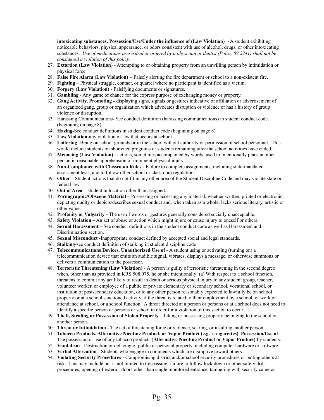**intoxicating substances, Possession/Use/Under the influence of (Law Violation)** - A student exhibiting noticeable behaviors, physical appearance, or odors consistent with use of alcohol, drugs, or other intoxicating substances. *Use of medications prescribed or ordered by a physician or dentist (Policy 09.2241) shall not be considered a violation of this policy.*

- 27. **Extortion (Law Violation)** Attempting to or obtaining property from an unwilling person by intimidation or physical force.
- 28. **False Fire Alarm (Law Violation)** Falsely alerting the fire department or school to a non-existent fire.
- 29. **Fighting** Physical struggle, contact, or quarrel where no participant is identified as a victim.
- 30. **Forgery (Law Violation)** Falsifying documents or signatures.
- 31. **Gambling** Any game of chance for the express purpose of exchanging money or property.
- 32. **Gang Activity, Promoting -** displaying signs, signals or gestures indicative of affiliation or advertisement of an organized gang, group or organization which advocates disruption or violence or has a history of group violence or disruption.
- 33. Harassing Communications- See conduct definition (harassing communications) in student conduct code. (beginning on page 8)
- 34. **Hazing-**See conduct definitions in student conduct code (beginning on page 8)
- 35. **Law Violation**-any violation of law that occurs at school
- 36. **Loitering -**Being on school grounds or in the school without authority or permission of school personnel. This would include students on shortened programs or students remaining after the school activities have ended.
- 37. **Menacing (Law Violation) -** actions, sometimes accompanied by words, used to intentionally place another person in reasonable apprehension of imminent physical injury.
- 38. **Non-Compliance with Classroom Rules** Failure to complete assignments, including state-mandated assessment tests, and to follow other school or classroom regulations.
- 39. **Other –** Student actions that do not fit in any other area of the Student Discipline Code and may violate state or federal law.
- 40. **Out of Area—**student in location other than assigned.
- 41. **Pornographic/Obscene Material** Possessing or accessing any material, whether written, printed or electronic, depicting nudity or depicts/describes sexual conduct and, when taken as a whole, lacks serious literary, artistic or other value.
- 42. **Profanity or Vulgarity** The use of words or gestures generally considered socially unacceptable.
- 43. **Safety Violation** An act of abuse or action which might injure or cause injury to oneself or others.
- 44. **Sexual Harassment** See conduct definitions in the student conduct code as well as Harassment and Discrimination section.
- 45. **Sexual Misconduct** -Inappropriate conduct defined by accepted social and legal standards.
- 46. **Stalking**-see conduct definition of stalking in student discipline code
- 47. **Telecommunications Devices, Unauthorized Use of** A student using or activating (turning on) a telecommunication device that emits an audible signal, vibrates, displays a message, or otherwise summons or delivers a communication to the possessor.
- 48. **Terroristic Threatening (Law Violation)** A person is guilty of terroristic threatening in the second degree when, other than as provided in KRS 508.075, he or she intentionally: (a) With respect to a school function, threatens to commit any act likely to result in death or serious physical injury to any student group, teacher, volunteer worker, or employee of a public or private elementary or secondary school, vocational school, or institution of postsecondary education, or to any other person reasonably expected to lawfully be on school property or at a school sanctioned activity, if the threat is related to their employment by a school, or work or attendance at school, or a school function. A threat directed at a person or persons or at a school does not need to identify a specific person or persons or school in order for a violation of this section to occur;
- 49. **Theft, Stealing or Possession of Stolen Property** Taking or possessing property belonging to the school or another person.
- 50. **Threat or Intimidation** The act of threatening force or violence, scaring, or insulting another person.
- 51. **Tobacco Products, Alternative Nicotine Product, or Vapor Product (e.g. e-cigarettes), Possession/Use of** The possession or use of any tobacco products (**Alternative Nicotine Product or Vapor Product)** by students.
- 52. **Vandalism** Destruction or defacing of public or personal property, including computer hardware or software.
- 53. **Verbal Altercation** Students who engage in comments which are disruptive toward others.
- 54. **Violating Security Procedures** Compromising district and/or school security procedures or putting others at risk. This may include but is not limited to trespassing, failure to follow lock down or other safety drill procedures, opening of exterior doors other than single monitored entrance, tampering with security cameras,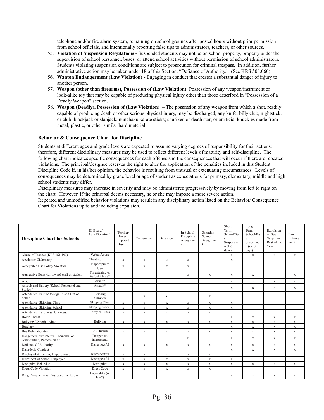telephone and/or fire alarm system, remaining on school grounds after posted hours without prior permission from school officials, and intentionally reporting false tips to administrators, teachers, or other sources.

- 55. **Violation of Suspension Regulations** Suspended students may not be on school property, property under the supervision of school personnel, buses, or attend school activities without permission of school administrators. Students violating suspension conditions are subject to prosecution for criminal trespass. In addition, further administrative action may be taken under 18 of this Section, "Defiance of Authority." (See KRS 508.060)
- 56. **Wanton Endangerment (Law Violation) -** Engaging in conduct that creates a substantial danger of injury to another person.
- 57. **Weapon (other than firearms), Possession of (Law Violation)** Possession of any weapon/instrument or look-alike toy that may be capable of producing physical injury other than those described in "Possession of a Deadly Weapon" section.
- 58. **Weapon (Deadly), Possession of (Law Violation)** The possession of any weapon from which a shot, readily capable of producing death or other serious physical injury, may be discharged; any knife, billy club, nightstick, or club; blackjack or slapjack; nunchaku karate sticks; shuriken or death star; or artificial knuckles made from metal, plastic, or other similar hard material.

#### <span id="page-35-0"></span>**Behavior & Consequence Chart for Discipline**

Students at different ages and grade levels are expected to assume varying degrees of responsibility for their actions; therefore, different disciplinary measures may be used to reflect different levels of maturity and self-discipline. The following chart indicates specific consequences for each offense and the consequences that will occur if there are repeated violations. The principal/designee reserves the right to alter the application of the penalties included in this Student Discipline Code if, in his/her opinion, the behavior is resulting from unusual or extenuating circumstances. Levels of consequences may be determined by grade level or age of student as expectations for primary, elementary, middle and high school students may differ.

Disciplinary measures may increase in severity and may be administered progressively by moving from left to right on the chart. However, if the principal deems necessary, he or she may impose a more severe action.

Repeated and unmodified behavior violations may result in any disciplinary action listed on the Behavior/ Consequence Chart for Violations up to and including expulsion.

| <b>Discipline Chart for Schools</b>                               | IC Board/<br>Law Violation*     | Teacher/<br>Driver<br>Imposed<br>Disc. | Conference   | Detention    | In School<br>Discipline<br>Assignme<br>nt | Saturday<br>School<br>Assignmen<br>t | Short<br>Term<br>School/Bu<br>Suspensio<br>$n(1-5)$<br>days) | Long<br>Term<br>School/Bu<br>$\mathbf{S}$<br>Suspensio<br>$n(6-10)$<br>days) | Expulsion<br>or Bus<br>Susp. for<br>Rest of the<br>Year | Law<br>Enforce<br>ment |
|-------------------------------------------------------------------|---------------------------------|----------------------------------------|--------------|--------------|-------------------------------------------|--------------------------------------|--------------------------------------------------------------|------------------------------------------------------------------------------|---------------------------------------------------------|------------------------|
| Abuse of Teacher (KRS 161.190)                                    | Verbal Abuse                    |                                        |              |              |                                           |                                      | $\mathbf X$                                                  | $\mathbf X$                                                                  | $\mathbf X$                                             | X                      |
| Academic Dishonesty                                               | Cheating                        | $\mathbf{x}$                           | $\mathbf{x}$ | $\mathbf{x}$ | $\mathbf{x}$                              |                                      | $\mathbf x$                                                  |                                                                              |                                                         |                        |
| Acceptable Use Policy Violation                                   | Inappropriate<br>Use            | $\mathbf X$                            | $\mathbf x$  | X            | X                                         |                                      |                                                              |                                                                              |                                                         |                        |
| Aggressive Behavior toward staff or student                       | Threatening or<br>Verbal Abuse* |                                        |              |              | X                                         | X                                    | $\mathbf X$                                                  | X                                                                            |                                                         | X                      |
| Arson                                                             | Arson*                          |                                        |              |              |                                           |                                      | $\mathbf X$                                                  | $\mathbf X$                                                                  | $\mathbf x$                                             | $\mathbf{x}$           |
| Assault and Battery (School Personnel and<br>Student)             | Assault*                        |                                        |              |              |                                           |                                      | $\mathbf X$                                                  | $\mathbf x$                                                                  | $\mathbf x$                                             | $\mathbf{x}$           |
| Attendance: Failure to Sign In and Out of<br>School               | Leaving<br>Campus               |                                        | X            | X            |                                           | X                                    |                                                              |                                                                              |                                                         |                        |
| Attendance: Skipping Class                                        | <b>Skipping Class</b>           | $\mathbf x$                            | $\mathbf{x}$ | $\mathbf{x}$ | $\mathbf x$                               | $\mathbf X$                          | $\mathbf x$                                                  |                                                                              |                                                         |                        |
| Attendance: Skipping School                                       | Skipping School                 | $\mathbf X$                            | $\mathbf X$  | $\mathbf X$  | $\mathbf X$                               | X                                    | $\mathbf X$                                                  |                                                                              |                                                         |                        |
| Attendance: Tardiness, Unexcused                                  | Tardy to Class                  | $\mathbf x$                            | $\mathbf X$  | $\mathbf X$  | $\mathbf x$                               | X                                    |                                                              |                                                                              |                                                         |                        |
| <b>Bomb</b> Threat                                                |                                 |                                        |              |              |                                           |                                      | $\mathbf X$                                                  | $\mathbf X$                                                                  | $\mathbf X$                                             | X                      |
| Bullying /Cyberbullying                                           | Bullying                        | $\mathbf x$                            | $\mathbf{x}$ | $\mathbf{x}$ | X                                         | $\mathbf{x}$                         | $\mathbf x$                                                  | $\mathbf X$                                                                  | $\mathbf{x}$                                            | $\mathbf X$            |
| Burglary                                                          |                                 |                                        |              |              |                                           |                                      | $\mathbf x$                                                  | $\mathbf x$                                                                  | $\mathbf{x}$                                            | $\mathbf{x}$           |
| Bus Rules Violation:                                              | Bus Disturb.                    | $\mathbf X$                            | $\mathbf x$  | $\mathbf X$  | $\mathbf X$                               | $\mathbf X$                          | $\mathbf X$                                                  | $\mathbf X$                                                                  | $\mathbf x$                                             | $\mathbf{x}$           |
| Dangerous Instruments, Fireworks, or<br>Ammunition, Possession of | Dangerous<br>Instruments        |                                        |              |              | X                                         |                                      | $\mathbf x$                                                  | $\mathbf{x}$                                                                 | X                                                       | $\mathbf{x}$           |
| Defiance Of Authority                                             | Disrespectful                   | $\mathbf X$                            | $\mathbf x$  | $\mathbf X$  | $\mathbf x$                               | X                                    | $\mathbf x$                                                  | $\mathbf X$                                                                  | $\mathbf X$                                             | $\mathbf X$            |
| Disorderly Conduct                                                |                                 |                                        |              |              |                                           |                                      | $\mathbf x$                                                  | $\mathbf{x}$                                                                 | $\mathbf{x}$                                            | $\mathbf{x}$           |
| Display of Affection, Inappropriate                               | Disrespectful                   | $\mathbf X$                            | $\mathbf X$  | $\mathbf X$  | $\mathbf X$                               | $\mathbf X$                          |                                                              |                                                                              |                                                         |                        |
| Disrespect of School Employee                                     | Disrespectful                   | $\mathbf X$                            | $\mathbf X$  | $\mathbf X$  | $\mathbf X$                               | $\mathbf X$                          | $\mathbf X$                                                  |                                                                              |                                                         |                        |
| Disruptive Behavior                                               | Disruptive                      | $\mathbf X$                            | $\mathbf X$  | $\mathbf X$  | X                                         | X                                    | $\mathbf X$                                                  | X                                                                            | $\mathbf x$                                             | $\mathbf{x}$           |
| Dress Code Violation                                              | Dress Code                      | $\mathbf X$                            | $\mathbf X$  | X            | X                                         | X                                    |                                                              |                                                                              |                                                         |                        |
| Drug Paraphernalia, Possession or Use of                          | Look-alike (or<br>$law*$        |                                        |              |              |                                           |                                      | X                                                            | X                                                                            | X                                                       | $\mathbf{x}$           |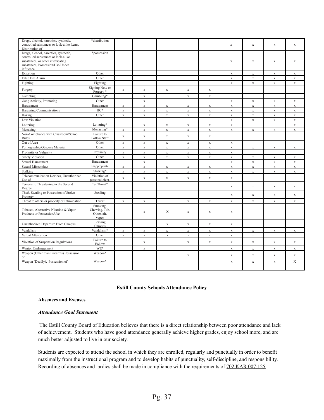| Drugs, alcohol, narcotics, synthetic,<br>controlled substances or look-alike Items,<br>Distribution of                                                             | *distribution                                     |             |             |             |             |             | $\mathbf x$ | $\mathbf X$ | $\mathbf X$ | $\mathbf X$  |
|--------------------------------------------------------------------------------------------------------------------------------------------------------------------|---------------------------------------------------|-------------|-------------|-------------|-------------|-------------|-------------|-------------|-------------|--------------|
| Drugs, alcohol, narcotics, synthetic,<br>controlled substances or look-alike<br>substances, or other intoxicating<br>substances, Possession/Use/Under<br>influence | *possession                                       |             |             |             |             |             | $\mathbf x$ | $\mathbf x$ | $\mathbf X$ | $\mathbf X$  |
| Extortion                                                                                                                                                          | Other                                             |             |             |             |             |             | $\mathbf X$ | $\mathbf X$ | $\mathbf X$ | $\mathbf{x}$ |
| False Fire Alarm                                                                                                                                                   | Other                                             |             |             |             |             |             | $\mathbf x$ | $\mathbf X$ | $\mathbf X$ | $\mathbf x$  |
| Fighting                                                                                                                                                           | Fighting                                          |             |             |             |             |             | $\mathbf X$ | $\mathbf X$ | $\mathbf X$ | $\mathbf X$  |
| Forgery                                                                                                                                                            | Signing Note or<br>Forgery <sup>*</sup>           | $\mathbf X$ | $\mathbf X$ | $\mathbf X$ | $\mathbf x$ | $\mathbf X$ |             |             |             |              |
| Gambling                                                                                                                                                           | Gambling*                                         |             | $\mathbf X$ |             | $\mathbf X$ | $\mathbf X$ |             |             |             |              |
| Gang Activity, Promoting                                                                                                                                           | Other                                             |             | $\mathbf X$ |             |             |             | $\mathbf x$ | $\mathbf X$ | $\mathbf x$ | $\mathbf X$  |
| Harassment                                                                                                                                                         | Harassment                                        | X           | $\mathbf X$ | $\mathbf X$ | $\mathbf x$ | $\mathbf X$ | X           | $\mathbf X$ | $\mathbf X$ | $\mathbf X$  |
| Harassing Communications                                                                                                                                           | HC*                                               | $\mathbf x$ | $\mathbf X$ | $\mathbf X$ | $\mathbf X$ | $\mathbf X$ | $\mathbf X$ | $\mathbf X$ | $\mathbf X$ | $\mathbf x$  |
| Hazing                                                                                                                                                             | Other                                             | $\mathbf X$ | $\mathbf X$ | $\mathbf x$ | $\mathbf X$ | $\mathbf X$ | $\mathbf X$ | $\mathbf x$ | $\mathbf x$ | $\mathbf X$  |
| Law Violation                                                                                                                                                      |                                                   |             |             |             |             |             | $\mathbf X$ | $\mathbf x$ | $\mathbf x$ | $\mathbf X$  |
| Loitering                                                                                                                                                          | Loitering*                                        |             | $\mathbf X$ | $\mathbf x$ | $\mathbf X$ | $\mathbf X$ | $\mathbf x$ |             |             | $\mathbf{x}$ |
| Menacing                                                                                                                                                           | Menacing*                                         | $\mathbf X$ | $\mathbf X$ | $\mathbf X$ | $\mathbf X$ | $\mathbf X$ | $\mathbf X$ | $\mathbf X$ | $\mathbf x$ | $\mathbf{x}$ |
| Non-Compliance with Classroom/School<br>Rules                                                                                                                      | Failure to<br>Follow Staff                        | $\mathbf X$ | $\mathbf X$ | $\mathbf x$ | $\mathbf X$ | $\mathbf X$ |             |             |             |              |
| Out of Area                                                                                                                                                        | Other                                             | $\mathbf X$ | $\mathbf X$ | $\mathbf x$ | $\mathbf X$ | $\mathbf X$ | $\mathbf X$ |             |             |              |
| Pornographic/Obscene Material                                                                                                                                      | Other                                             | $\mathbf X$ | $\mathbf x$ | $\mathbf X$ | $\mathbf X$ | $\mathbf x$ | $\mathbf X$ | $\mathbf X$ | $\mathbf x$ | $\mathbf X$  |
| Profanity or Vulgarity                                                                                                                                             | Profanity                                         | $\mathbf X$ | $\mathbf X$ | $\mathbf x$ | $\mathbf X$ | $\mathbf X$ | $\mathbf X$ |             |             |              |
| <b>Safety Violation</b>                                                                                                                                            | Other                                             | $\mathbf x$ | $\mathbf X$ | $\mathbf X$ | $\mathbf X$ | $\mathbf X$ | $\mathbf X$ | $\mathbf x$ | $\mathbf X$ | $\mathbf x$  |
| Sexual Harassment                                                                                                                                                  | Harassment                                        |             | $\mathbf X$ |             |             |             | $\mathbf X$ | $\mathbf X$ | $\mathbf X$ | $\mathbf X$  |
| Sexual Misconduct                                                                                                                                                  | Inappropriate                                     | $\mathbf x$ | $\mathbf X$ | $\mathbf X$ | $\mathbf X$ | $\mathbf X$ | $\mathbf X$ | $\mathbf X$ | $\mathbf X$ | $\mathbf X$  |
| Stalking                                                                                                                                                           | Stalking*                                         | $\mathbf x$ | $\mathbf X$ | $\mathbf X$ | $\mathbf X$ | $\mathbf x$ | $\mathbf x$ | $\mathbf x$ | $\mathbf X$ | $\mathbf x$  |
| Telecommunication Devices, Unauthorized<br>Use of                                                                                                                  | Violation of<br>personal elect.                   | $\mathbf x$ | $\mathbf x$ | $\mathbf X$ | $\mathbf X$ | $\mathbf x$ | $\mathbf X$ |             |             |              |
| Terroristic Threatening in the Second<br>Degree                                                                                                                    | Ter.Threat*                                       |             |             |             |             |             | $\mathbf x$ | $\mathbf x$ | $\mathbf x$ | X            |
| Theft, Stealing or Possession of Stolen<br>Property                                                                                                                | Stealing                                          |             |             |             |             |             | $\mathbf X$ | $\mathbf x$ | $\mathbf X$ | $\mathbf X$  |
| Threat to others or property or Intimidation                                                                                                                       | Threat                                            | $\mathbf X$ | $\mathbf X$ |             | $\mathbf X$ | $\mathbf X$ | $\mathbf X$ | $\mathbf X$ | $\mathbf X$ | $\mathbf{x}$ |
| Tobacco, Alternative Nicotine & Vapor<br>Products or Possession/Use                                                                                                | Smoking.<br>Chewing, Tob.<br>Other, alt,<br>vapor |             | X           | X           | X           | $\mathbf x$ | $\mathbf X$ |             |             |              |
| Unauthorized Departure From Campus                                                                                                                                 | Leaving<br>Campus                                 |             |             | $\mathbf x$ | $\mathbf X$ | $\mathbf X$ | $\mathbf X$ |             |             |              |
| Vandalism                                                                                                                                                          | Vandalism*                                        | $\mathbf X$ | $\mathbf X$ | $\mathbf X$ | $\mathbf x$ | $\mathbf X$ | $\mathbf x$ | $\mathbf X$ | $\mathbf X$ | $\mathbf X$  |
| Verbal Altercation                                                                                                                                                 | Other                                             | $\mathbf X$ | $\mathbf X$ | $\mathbf x$ | $\mathbf X$ | $\mathbf X$ | $\mathbf X$ | $\mathbf X$ |             |              |
| Violation of Suspension Regulations                                                                                                                                | Failure to<br>Follow                              |             | $\mathbf x$ |             | $\mathbf X$ | $\mathbf X$ | $\mathbf x$ | $\mathbf x$ | $\mathbf x$ | $\mathbf X$  |
| Wanton Endangerment                                                                                                                                                | WE*                                               |             | $\mathbf X$ |             |             |             | $\mathbf X$ | $\mathbf X$ | $\mathbf X$ | $\mathbf X$  |
| Weapon (Other than Firearms) Possession<br>of                                                                                                                      | Weapon*                                           |             |             |             | $\mathbf X$ |             | $\mathbf x$ | $\mathbf X$ | $\mathbf x$ | $\mathbf x$  |
| Weapon (Deadly), Possession of                                                                                                                                     | Weapon*                                           |             |             |             |             |             | X           | $\mathbf X$ | $\mathbf X$ | X            |

#### **Estill County Schools Attendance Policy**

#### <span id="page-36-1"></span><span id="page-36-0"></span>**Absences and Excuses**

#### *Attendance Goal Statement*

The Estill County Board of Education believes that there is a direct relationship between poor attendance and lack of achievement. Students who have good attendance generally achieve higher grades, enjoy school more, and are much better adjusted to live in our society.

Students are expected to attend the school in which they are enrolled, regularly and punctually in order to benefit maximally from the instructional program and to develop habits of punctuality, self-discipline, and responsibility. Recording of absences and tardies shall be made in compliance with the requirements of  $702$  KAR 007:125.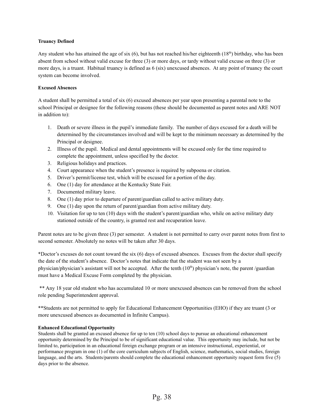#### <span id="page-37-0"></span>**Truancy Defined**

Any student who has attained the age of six  $(6)$ , but has not reached his/her eighteenth  $(18<sup>th</sup>)$  birthday, who has been absent from school without valid excuse for three (3) or more days, or tardy without valid excuse on three (3) or more days, is a truant. Habitual truancy is defined as 6 (six) unexcused absences. At any point of truancy the court system can become involved.

#### <span id="page-37-1"></span>**Excused Absences**

A student shall be permitted a total of six (6) excused absences per year upon presenting a parental note to the school Principal or designee for the following reasons (these should be documented as parent notes and ARE NOT in addition to):

- 1. Death or severe illness in the pupil's immediate family. The number of days excused for a death will be determined by the circumstances involved and will be kept to the minimum necessary as determined by the Principal or designee.
- 2. Illness of the pupil. Medical and dental appointments will be excused only for the time required to complete the appointment, unless specified by the doctor.
- 3. Religious holidays and practices.
- 4. Court appearance when the student's presence is required by subpoena or citation.
- 5. Driver's permit/license test, which will be excused for a portion of the day.
- 6. One (1) day for attendance at the Kentucky State Fair.
- 7. Documented military leave.
- 8. One (1) day prior to departure of parent/guardian called to active military duty.
- 9. One (1) day upon the return of parent/guardian from active military duty.
- 10. Visitation for up to ten (10) days with the student's parent/guardian who, while on active military duty stationed outside of the country, is granted rest and recuperation leave.

Parent notes are to be given three (3) per semester. A student is not permitted to carry over parent notes from first to second semester. Absolutely no notes will be taken after 30 days.

\*Doctor's excuses do not count toward the six (6) days of excused absences. Excuses from the doctor shall specify the date of the student's absence. Doctor's notes that indicate that the student was not seen by a physician/physician's assistant will not be accepted. After the tenth  $(10<sup>th</sup>)$  physician's note, the parent /guardian must have a Medical Excuse Form completed by the physician.

\*\* Any 18 year old student who has accumulated 10 or more unexcused absences can be removed from the school role pending Superintendent approval.

\*\*Students are not permitted to apply for Educational Enhancement Opportunities (EHO) if they are truant (3 or more unexcused absences as documented in Infinite Campus).

#### <span id="page-37-2"></span>**Enhanced Educational Opportunity**

Students shall be granted an excused absence for up to ten (10) school days to pursue an educational enhancement opportunity determined by the Principal to be of significant educational value. This opportunity may include, but not be limited to, participation in an educational foreign exchange program or an intensive instructional, experiential, or performance program in one (1) of the core curriculum subjects of English, science, mathematics, social studies, foreign language, and the arts. Students/parents should complete the educational enhancement opportunity request form five (5) days prior to the absence.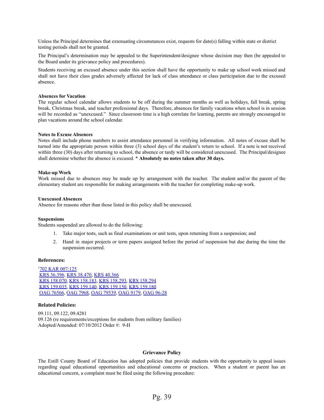Unless the Principal determines that extenuating circumstances exist, requests for date(s) falling within state or district testing periods shall not be granted.

The Principal's determination may be appealed to the Superintendent/designee whose decision may then (be appealed to the Board under its grievance policy and procedures).

Students receiving an excused absence under this section shall have the opportunity to make up school work missed and shall not have their class grades adversely affected for lack of class attendance or class participation due to the excused absence.

#### <span id="page-38-0"></span>**Absences for Vacation**

The regular school calendar allows students to be off during the summer months as well as holidays, fall break, spring break, Christmas break, and teacher professional days. Therefore, absences for family vacations when school is in session will be recorded as "unexcused." Since classroom time is a high correlate for learning, parents are strongly encouraged to plan vacations around the school calendar.

#### <span id="page-38-1"></span>**Notes to Excuse Absences**

Notes shall include phone numbers to assist attendance personnel in verifying information. All notes of excuse shall be turned into the appropriate person within three (3) school days of the student's return to school. If a note is not received within three (30) days after returning to school, the absence or tardy will be considered unexcused. The Principal/designee shall determine whether the absence is excused. \* **Absolutely no notes taken after 30 days.**

#### <span id="page-38-2"></span>**Make-up Work**

Work missed due to absences may be made up by arrangement with the teacher. The student and/or the parent of the elementary student are responsible for making arrangements with the teacher for completing make-up work.

#### <span id="page-38-3"></span>**Unexcused Absences**

Absence for reasons other than those listed in this policy shall be unexcused.

#### <span id="page-38-4"></span>**Suspensions**

Students suspended are allowed to do the following:

- 1. Take major tests, such as final examinations or unit tests, upon returning from a suspension; and
- 2. Hand in major projects or term papers assigned before the period of suspension but due during the time the suspension occurred.

#### <span id="page-38-5"></span>**References:**

<sup>1</sup>702 KAR 007:125 KRS 36.396, KRS 38.470, KRS 40.366 KRS 158.070, KRS 158.183, KRS 158.293, KRS 158.294 KRS 159.035, KRS 159.140, KRS 159.150, KRS 159.180 OAG 76566, OAG 7968, OAG 79539, OAG 9179, OAG 96-28

#### <span id="page-38-6"></span>**Related Policies:**

09.111, 09.122, 09.4281 09.126 (re requirements/exceptions for students from military families) Adopted/Amended: 07/10/2012 Order #: 9-H

#### **Grievance Policy**

<span id="page-38-7"></span>The Estill County Board of Education has adopted policies that provide students with the opportunity to appeal issues regarding equal educational opportunities and educational concerns or practices. When a student or parent has an educational concern, a complaint must be filed using the following procedure: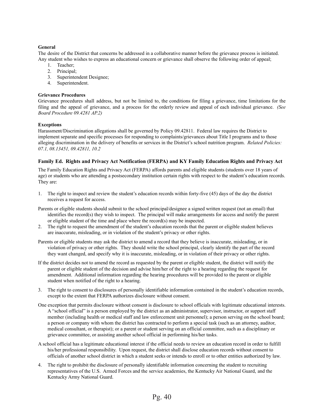#### <span id="page-39-0"></span>**General**

The desire of the District that concerns be addressed in a collaborative manner before the grievance process is initiated. Any student who wishes to express an educational concern or grievance shall observe the following order of appeal;

- 1. Teacher;
- 2. Principal;
- 3. Superintendent Designee;
- 4. Superintendent.

#### <span id="page-39-1"></span>**Grievance Procedures**

Grievance procedures shall address, but not be limited to, the conditions for filing a grievance, time limitations for the filing and the appeal of grievance, and a process for the orderly review and appeal of each individual grievance. *(See Board Procedure 09.4281 AP.2)*

#### <span id="page-39-2"></span>**Exceptions**

Harassment/Discrimination allegations shall be governed by Policy 09.42811. Federal law requires the District to implement separate and specific processes for responding to complaints/grievances about Title I programs and to those alleging discrimination in the delivery of benefits or services in the District's school nutrition program. *Related Policies: 07.1, 08.13451, 09.42811, 10.2*

#### <span id="page-39-3"></span>**Family Ed. Rights and Privacy Act Notification (FERPA) and KY Family Education Rights and Privacy Act**

The Family Education Rights and Privacy Act (FERPA) affords parents and eligible students (students over 18 years of age) or students who are attending a postsecondary institution certain rights with respect to the student's education records. They are:

- 1. The right to inspect and review the student's education records within forty-five (45) days of the day the district receives a request for access.
- Parents or eligible students should submit to the school principal/designee a signed written request (not an email) that identifies the record(s) they wish to inspect. The principal will make arrangements for access and notify the parent or eligible student of the time and place where the record(s) may be inspected.
- 2. The right to request the amendment of the student's education records that the parent or eligible student believes are inaccurate, misleading, or in violation of the student's privacy or other rights.
- Parents or eligible students may ask the district to amend a record that they believe is inaccurate, misleading, or in violation of privacy or other rights. They should write the school principal, clearly identify the part of the record they want changed, and specify why it is inaccurate, misleading, or in violation of their privacy or other rights.
- If the district decides not to amend the record as requested by the parent or eligible student, the district will notify the parent or eligible student of the decision and advise him/her of the right to a hearing regarding the request for amendment. Additional information regarding the hearing procedures will be provided to the parent or eligible student when notified of the right to a hearing.
- 3. The right to consent to disclosures of personally identifiable information contained in the student's education records, except to the extent that FERPA authorizes disclosure without consent.
- One exception that permits disclosure without consent is disclosure to school officials with legitimate educational interests. A "school official" is a person employed by the district as an administrator, supervisor, instructor, or support staff member (including health or medical staff and law enforcement unit personnel); a person serving on the school board; a person or company with whom the district has contracted to perform a special task (such as an attorney, auditor, medical consultant, or therapist); or a parent or student serving on an official committee, such as a disciplinary or grievance committee, or assisting another school official in performing his/her tasks.
- A school official has a legitimate educational interest if the official needs to review an education record in order to fulfill his/her professional responsibility. Upon request, the district shall disclose education records without consent to officials of another school district in which a student seeks or intends to enroll or to other entities authorized by law.
- 4. The right to prohibit the disclosure of personally identifiable information concerning the student to recruiting representatives of the U.S. Armed Forces and the service academies, the Kentucky Air National Guard, and the Kentucky Army National Guard.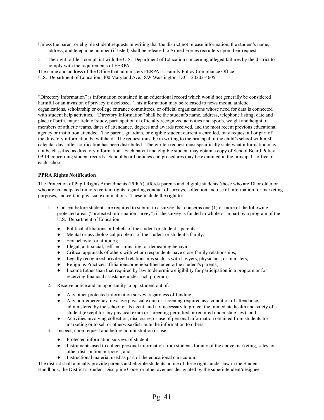Unless the parent or eligible student requests in writing that the district not release information, the student's name, address, and telephone number (if listed) shall be released to Armed Forces recruiters upon their request.

- 5. The right to file a complaint with the U.S. Department of Education concerning alleged failures by the district to comply with the requirements of FERPA.
- The name and address of the Office that administers FERPA is: Family Policy Compliance Office
- U.S. Department of Education, 400 Maryland Ave., SW Washington, D.C. 20202-4605

"Directory Information" is information contained in an educational record which would not generally be considered harmful or an invasion of privacy if disclosed. This information may be released to news media, athletic organizations, scholarship or college entrance committees, or official organizations whose need for data is connected with student help activities. "Directory Information" shall be the student's name, address, telephone listing, date and place of birth, major field of study, participation in officially recognized activities and sports, weight and height of members of athletic teams, dates of attendance, degrees and awards received, and the most recent previous educational agency or institution attended. The parent, guardian, or eligible student currently enrolled, may request all or part of the directory information be withheld. The request must be in writing to the principal of the child's school within 30 calendar days after notification has been distributed. The written request must specifically state what information may not be classified as directory information. Each parent and eligible student may obtain a copy of School Board Policy 09.14 concerning student records. School board policies and procedures may be examined in the principal's office of each school.

#### <span id="page-40-0"></span>**PPRA Rights Notification**

The Protection of Pupil Rights Amendments (PPRA) affords parents and eligible students (those who are 18 or older or who are emancipated minors) certain rights regarding conduct of surveys, collection and use of information for marketing purposes, and certain physical examinations. These include the right to:

- 1. Consent before students are required to submit to a survey that concerns one (1) or more of the following protected areas ("protected information survey") if the survey is funded in whole or in part by a program of the U.S. Department of Education:
	- Political affiliations or beliefs of the student or student's parents;
	- Mental or psychological problems of the student or student's family;
	- Sex behavior or attitudes;
	- Illegal, anti-social, self-incriminating, or demeaning behavior;
	- Critical appraisals of others with whom respondents have close family relationships;
	- Legally recognized privileged relationships such as with lawyers, physicians, or ministers;
	- Religious Practices, affiliations, orbeliefs of the student or the student's parents;
	- Income (other than that required by law to determine eligibility for participation in a program or for receiving financial assistance under such program).
- 2. Receive notice and an opportunity to opt student out of:
	- Any other protected information survey, regardless of funding;
	- Any non-emergency, invasive physical exam or screening required as a condition of attendance, administered by the school or its agent, and not necessary to protect the immediate health and safety of a student (except for any physical exam or screening permitted or required under state law); and
	- Activities involving collection, disclosure, or use of personal information obtained from students for marketing or to sell or otherwise distribute the information to others.
- 3. Inspect, upon request and before administration or use:
	- Protected information surveys of student;
	- Instruments used to collect personal information from students for any of the above marketing, sales, or other distribution purposes; and
	- Instructional material used as part of the educational curriculum.

The district shall annually provide parents and eligible students notice of these rights under law in the Student Handbook, the District's Student Discipline Code*,* or other avenues designated by the superintendent/designee.